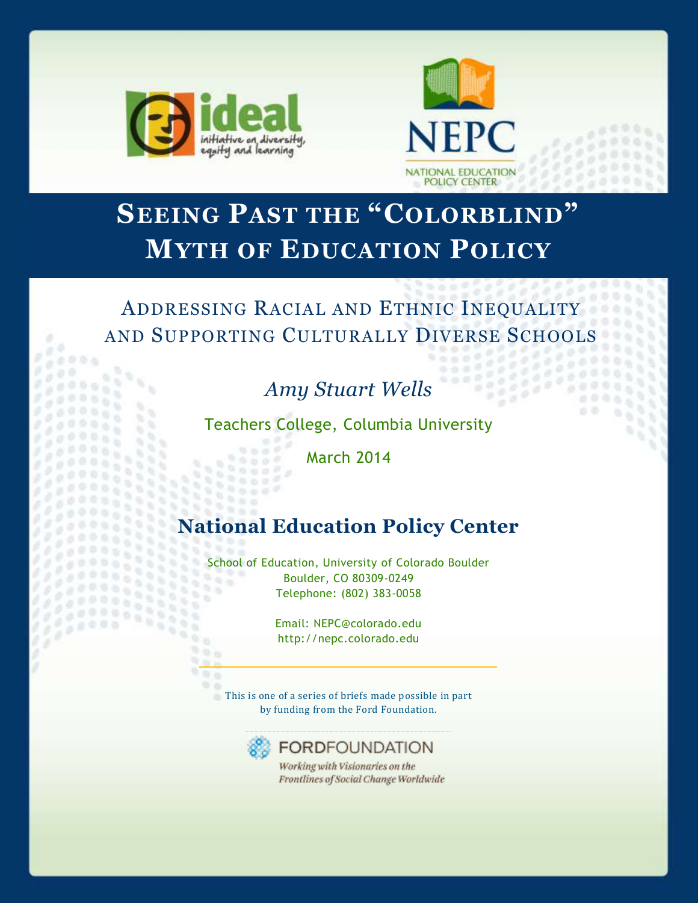

 $\sigma$  $0.0006$ 

 $0.00$ 

 $00000$  $0.06$ 

 $0<sup>0</sup>$ 

÷,  $\tilde{\sigma}$ 

 $0<sup>2</sup>$ 

2222233  $70000$ 



 $\sim$ 

 $00$ 

38336 

# **SEEING PAST THE "COLORBLIND" MYTH OF EDUCATION POLICY**

# ADDRESSING RACIAL AND ETHNIC INEQUALITY AND SUPPORTING CULTURALLY DIVERSE SCHOOLS

# *Amy Stuart Wells*

Teachers College, Columbia University

March 2014

# **National Education Policy Center**

School of Education, University of Colorado Boulder 962 Boulder, CO 80309-0249 88 Telephone: (802) 383-0058 55

> Email: NEPC@colorado.edu http://nepc.colorado.edu

 $90.0$ This is one of a series of briefs made possible in part by funding from the Ford Foundation.



 $0.6$ 

 $0.000$  $0.0.009$  $\frac{1}{2}$  $0.002$ 

**FORDFOUNDATION** 

Working with Visionaries on the Frontlines of Social Change Worldwide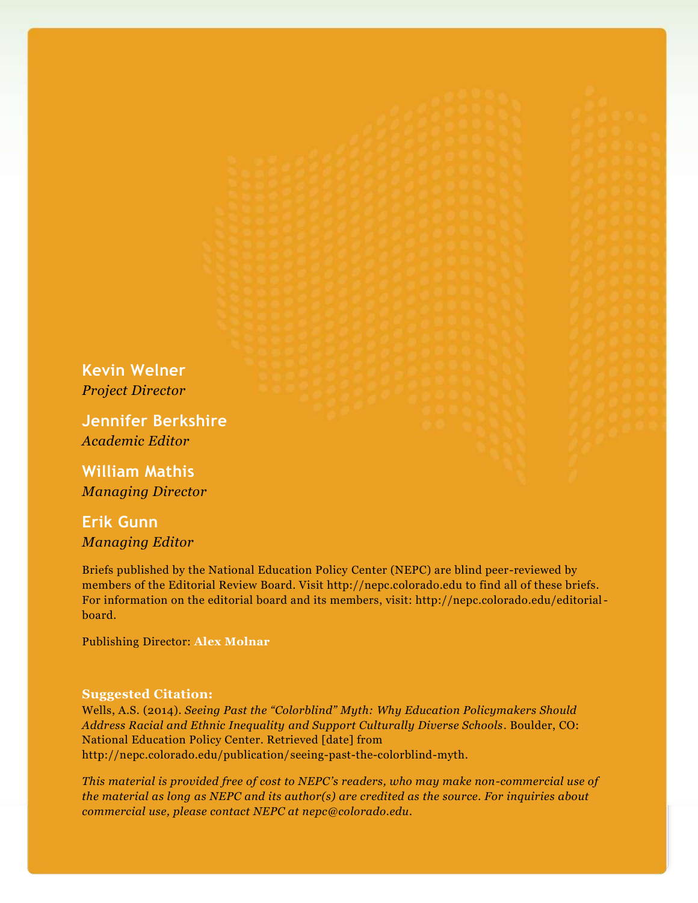**Kevin Welner** *Project Director*

**Jennifer Berkshire** *Academic Editor*

**William Mathis** *Managing Director*

## **Erik Gunn** *Managing Editor*

Briefs published by the National Education Policy Center (NEPC) are blind peer-reviewed by members of the Editorial Review Board. Visit http://nepc.colorado.edu to find all of these briefs. For information on the editorial board and its members, visit: http://nepc.colorado.edu/editorialboard.

Publishing Director: **Alex Molnar**

#### **Suggested Citation:**

Wells, A.S. (2014). *Seeing Past the "Colorblind" Myth: Why Education Policymakers Should Address Racial and Ethnic Inequality and Support Culturally Diverse Schools*. Boulder, CO: National Education Policy Center. Retrieved [date] from http://nepc.colorado.edu/publication/seeing-past-the-colorblind-myth.

*This material is provided free of cost to NEPC's readers, who may make non-commercial use of the material as long as NEPC and its author(s) are credited as the source. For inquiries about commercial use, please contact NEPC at nepc@colorado.edu.*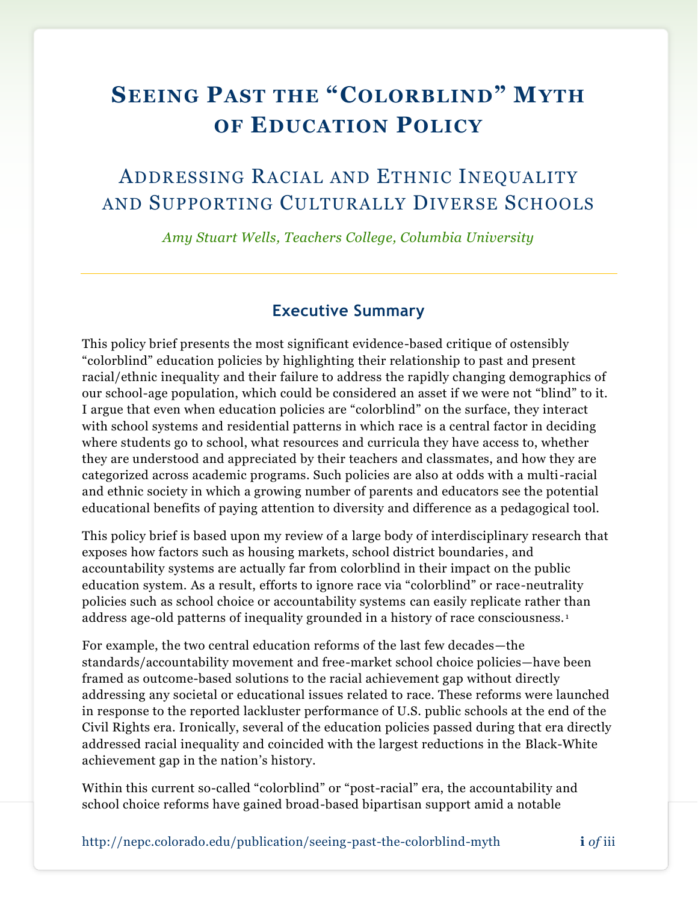# **SEEING PAST THE "COLORBLIND" MYTH OF EDUCATION POLICY**

## ADDRESSING RACIAL AND ETHNIC INEQUALITY AND SUPPORTING CULTURALLY DIVERSE SCHOOLS

*Amy Stuart Wells, Teachers College, Columbia University*

## **Executive Summary**

This policy brief presents the most significant evidence-based critique of ostensibly "colorblind" education policies by highlighting their relationship to past and present racial/ethnic inequality and their failure to address the rapidly changing demographics of our school-age population, which could be considered an asset if we were not "blind" to it. I argue that even when education policies are "colorblind" on the surface, they interact with school systems and residential patterns in which race is a central factor in deciding where students go to school, what resources and curricula they have access to, whether they are understood and appreciated by their teachers and classmates, and how they are categorized across academic programs. Such policies are also at odds with a multi-racial and ethnic society in which a growing number of parents and educators see the potential educational benefits of paying attention to diversity and difference as a pedagogical tool.

This policy brief is based upon my review of a large body of interdisciplinary research that exposes how factors such as housing markets, school district boundaries, and accountability systems are actually far from colorblind in their impact on the public education system. As a result, efforts to ignore race via "colorblind" or race-neutrality policies such as school choice or accountability systems can easily replicate rather than address age-old patterns of inequality grounded in a history of race consciousness. <sup>1</sup>

For example, the two central education reforms of the last few decades—the standards/accountability movement and free-market school choice policies—have been framed as outcome-based solutions to the racial achievement gap without directly addressing any societal or educational issues related to race. These reforms were launched in response to the reported lackluster performance of U.S. public schools at the end of the Civil Rights era. Ironically, several of the education policies passed during that era directly addressed racial inequality and coincided with the largest reductions in the Black-White achievement gap in the nation's history.

Within this current so-called "colorblind" or "post-racial" era, the accountability and school choice reforms have gained broad-based bipartisan support amid a notable

http://nepc.colorado.edu/publication/seeing-past-the-colorblind-myth **i** *of* iii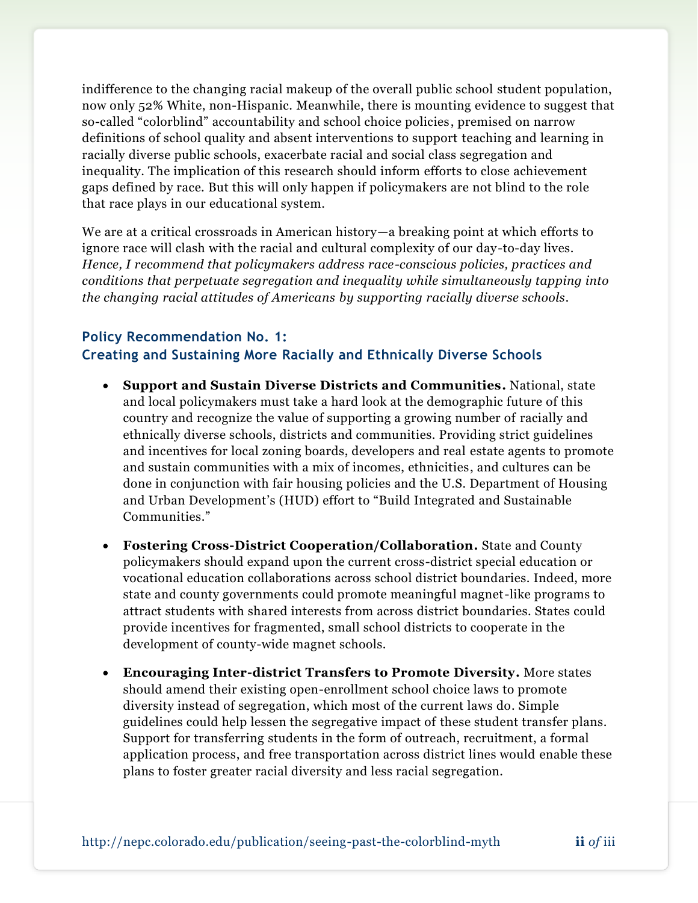indifference to the changing racial makeup of the overall public school student population, now only 52% White, non-Hispanic. Meanwhile, there is mounting evidence to suggest that so-called "colorblind" accountability and school choice policies, premised on narrow definitions of school quality and absent interventions to support teaching and learning in racially diverse public schools, exacerbate racial and social class segregation and inequality. The implication of this research should inform efforts to close achievement gaps defined by race. But this will only happen if policymakers are not blind to the role that race plays in our educational system.

We are at a critical crossroads in American history—a breaking point at which efforts to ignore race will clash with the racial and cultural complexity of our day-to-day lives. *Hence, I recommend that policymakers address race-conscious policies, practices and conditions that perpetuate segregation and inequality while simultaneously tapping into the changing racial attitudes of Americans by supporting racially diverse schools.*

### **Policy Recommendation No. 1:**

## **Creating and Sustaining More Racially and Ethnically Diverse Schools**

- **Support and Sustain Diverse Districts and Communities.** National, state and local policymakers must take a hard look at the demographic future of this country and recognize the value of supporting a growing number of racially and ethnically diverse schools, districts and communities. Providing strict guidelines and incentives for local zoning boards, developers and real estate agents to promote and sustain communities with a mix of incomes, ethnicities, and cultures can be done in conjunction with fair housing policies and the U.S. Department of Housing and Urban Development's (HUD) effort to "Build Integrated and Sustainable Communities."
- **Fostering Cross-District Cooperation/Collaboration.** State and County policymakers should expand upon the current cross-district special education or vocational education collaborations across school district boundaries. Indeed, more state and county governments could promote meaningful magnet-like programs to attract students with shared interests from across district boundaries. States could provide incentives for fragmented, small school districts to cooperate in the development of county-wide magnet schools.
- **Encouraging Inter-district Transfers to Promote Diversity.** More states should amend their existing open-enrollment school choice laws to promote diversity instead of segregation, which most of the current laws do. Simple guidelines could help lessen the segregative impact of these student transfer plans. Support for transferring students in the form of outreach, recruitment, a formal application process, and free transportation across district lines would enable these plans to foster greater racial diversity and less racial segregation.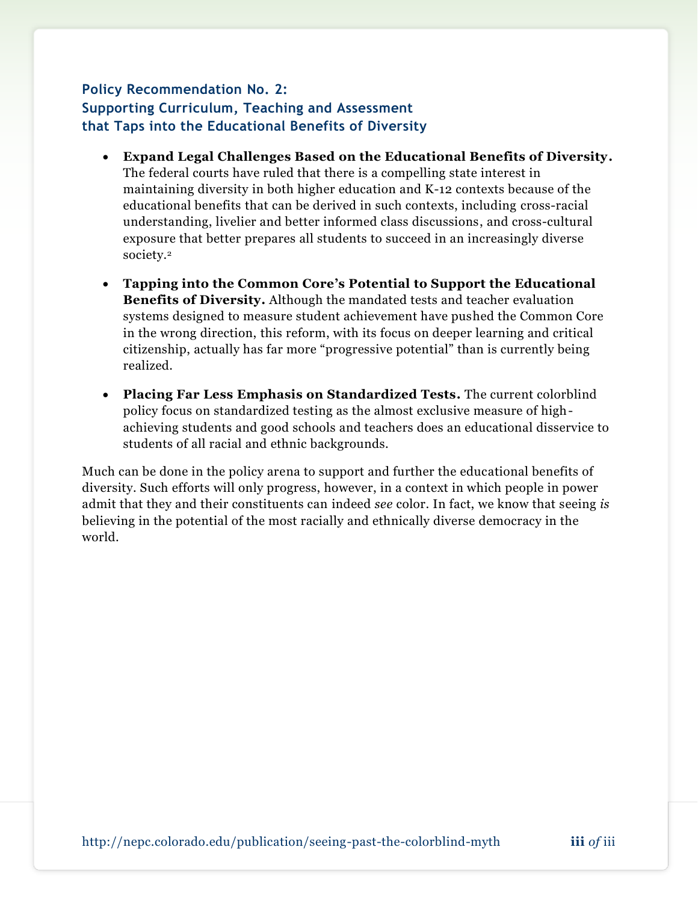## **Policy Recommendation No. 2: Supporting Curriculum, Teaching and Assessment that Taps into the Educational Benefits of Diversity**

- **Expand Legal Challenges Based on the Educational Benefits of Diversity.** The federal courts have ruled that there is a compelling state interest in maintaining diversity in both higher education and K-12 contexts because of the educational benefits that can be derived in such contexts, including cross-racial understanding, livelier and better informed class discussions, and cross-cultural exposure that better prepares all students to succeed in an increasingly diverse society.<sup>2</sup>
- **Tapping into the Common Core's Potential to Support the Educational Benefits of Diversity.** Although the mandated tests and teacher evaluation systems designed to measure student achievement have pushed the Common Core in the wrong direction, this reform, with its focus on deeper learning and critical citizenship, actually has far more "progressive potential" than is currently being realized.
- **Placing Far Less Emphasis on Standardized Tests.** The current colorblind policy focus on standardized testing as the almost exclusive measure of highachieving students and good schools and teachers does an educational disservice to students of all racial and ethnic backgrounds.

Much can be done in the policy arena to support and further the educational benefits of diversity. Such efforts will only progress, however, in a context in which people in power admit that they and their constituents can indeed *see* color. In fact, we know that seeing *is*  believing in the potential of the most racially and ethnically diverse democracy in the world.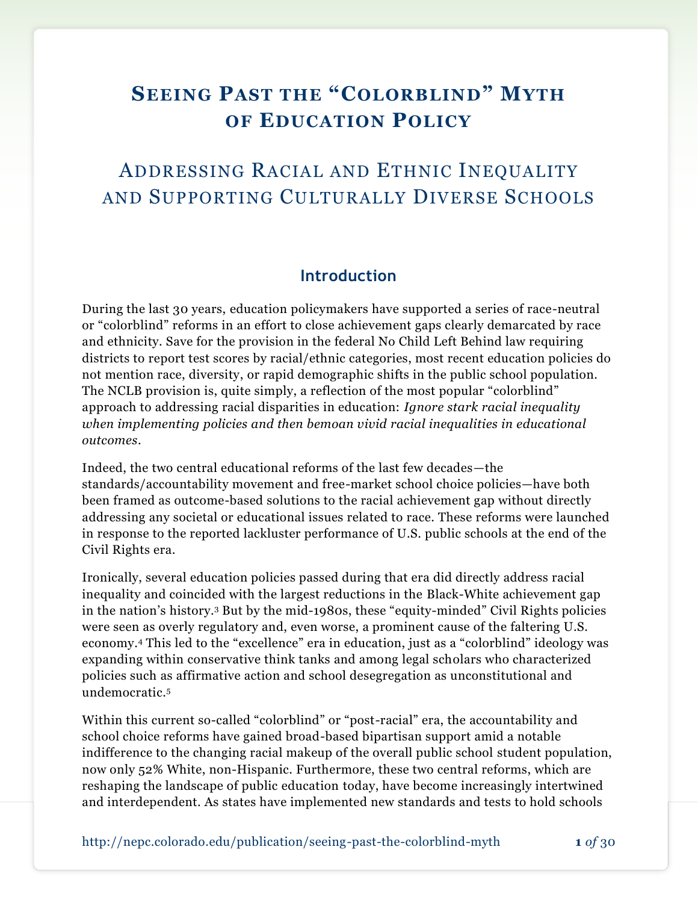# **SEEING PAST THE "COLORBLIND" MYTH OF EDUCATION POLICY**

## ADDRESSING RACIAL AND ETHNIC INEQUALITY AND SUPPORTING CULTURALLY DIVERSE SCHOOLS

### **Introduction**

During the last 30 years, education policymakers have supported a series of race-neutral or "colorblind" reforms in an effort to close achievement gaps clearly demarcated by race and ethnicity. Save for the provision in the federal No Child Left Behind law requiring districts to report test scores by racial/ethnic categories, most recent education policies do not mention race, diversity, or rapid demographic shifts in the public school population. The NCLB provision is, quite simply, a reflection of the most popular "colorblind" approach to addressing racial disparities in education: *Ignore stark racial inequality when implementing policies and then bemoan vivid racial inequalities in educational outcomes*.

Indeed, the two central educational reforms of the last few decades—the standards/accountability movement and free-market school choice policies—have both been framed as outcome-based solutions to the racial achievement gap without directly addressing any societal or educational issues related to race. These reforms were launched in response to the reported lackluster performance of U.S. public schools at the end of the Civil Rights era.

Ironically, several education policies passed during that era did directly address racial inequality and coincided with the largest reductions in the Black-White achievement gap in the nation's history.<sup>3</sup> But by the mid-1980s, these "equity-minded" Civil Rights policies were seen as overly regulatory and, even worse, a prominent cause of the faltering U.S. economy.<sup>4</sup> This led to the "excellence" era in education, just as a "colorblind" ideology was expanding within conservative think tanks and among legal scholars who characterized policies such as affirmative action and school desegregation as unconstitutional and undemocratic.<sup>5</sup>

Within this current so-called "colorblind" or "post-racial" era, the accountability and school choice reforms have gained broad-based bipartisan support amid a notable indifference to the changing racial makeup of the overall public school student population, now only 52% White, non-Hispanic. Furthermore, these two central reforms, which are reshaping the landscape of public education today, have become increasingly intertwined and interdependent. As states have implemented new standards and tests to hold schools

http://nepc.colorado.edu/publication/seeing-past-the-colorblind-myth **1** *of* 30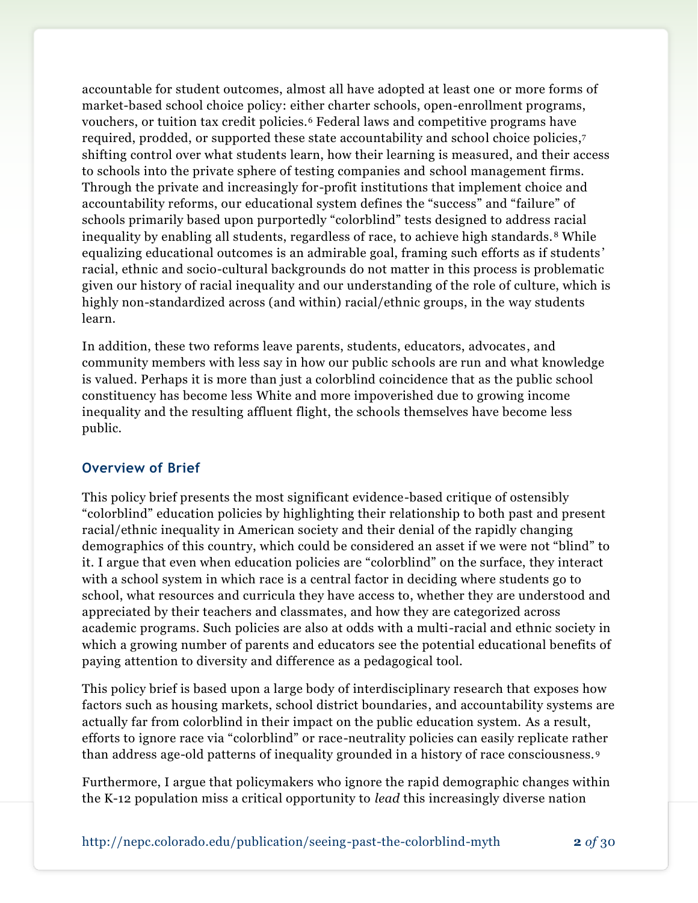accountable for student outcomes, almost all have adopted at least one or more forms of market-based school choice policy: either charter schools, open-enrollment programs, vouchers, or tuition tax credit policies.<sup>6</sup> Federal laws and competitive programs have required, prodded, or supported these state accountability and school choice policies, 7 shifting control over what students learn, how their learning is measured, and their access to schools into the private sphere of testing companies and school management firms. Through the private and increasingly for-profit institutions that implement choice and accountability reforms, our educational system defines the "success" and "failure" of schools primarily based upon purportedly "colorblind" tests designed to address racial inequality by enabling all students, regardless of race, to achieve high standards. <sup>8</sup> While equalizing educational outcomes is an admirable goal, framing such efforts as if students ' racial, ethnic and socio-cultural backgrounds do not matter in this process is problematic given our history of racial inequality and our understanding of the role of culture, which is highly non-standardized across (and within) racial/ethnic groups, in the way students learn.

In addition, these two reforms leave parents, students, educators, advocates, and community members with less say in how our public schools are run and what knowledge is valued. Perhaps it is more than just a colorblind coincidence that as the public school constituency has become less White and more impoverished due to growing income inequality and the resulting affluent flight, the schools themselves have become less public.

#### **Overview of Brief**

This policy brief presents the most significant evidence-based critique of ostensibly "colorblind" education policies by highlighting their relationship to both past and present racial/ethnic inequality in American society and their denial of the rapidly changing demographics of this country, which could be considered an asset if we were not "blind" to it. I argue that even when education policies are "colorblind" on the surface, they interact with a school system in which race is a central factor in deciding where students go to school, what resources and curricula they have access to, whether they are understood and appreciated by their teachers and classmates, and how they are categorized across academic programs. Such policies are also at odds with a multi-racial and ethnic society in which a growing number of parents and educators see the potential educational benefits of paying attention to diversity and difference as a pedagogical tool.

This policy brief is based upon a large body of interdisciplinary research that exposes how factors such as housing markets, school district boundaries, and accountability systems are actually far from colorblind in their impact on the public education system. As a result, efforts to ignore race via "colorblind" or race-neutrality policies can easily replicate rather than address age-old patterns of inequality grounded in a history of race consciousness. <sup>9</sup>

Furthermore, I argue that policymakers who ignore the rapid demographic changes within the K-12 population miss a critical opportunity to *lead* this increasingly diverse nation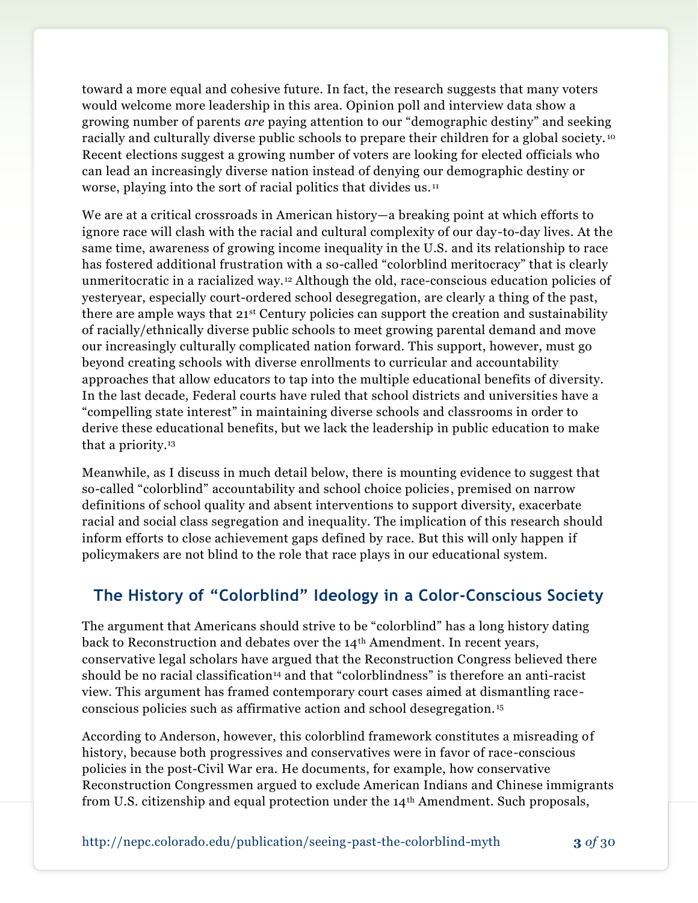toward a more equal and cohesive future. In fact, the research suggests that many voters would welcome more leadership in this area. Opinion poll and interview data show a growing number of parents *are* paying attention to our "demographic destiny" and seeking racially and culturally diverse public schools to prepare their children for a global society.<sup>10</sup> Recent elections suggest a growing number of voters are looking for elected officials who can lead an increasingly diverse nation instead of denying our demographic destiny or worse, playing into the sort of racial politics that divides us. <sup>11</sup>

We are at a critical crossroads in American history—a breaking point at which efforts to ignore race will clash with the racial and cultural complexity of our day-to-day lives. At the same time, awareness of growing income inequality in the U.S. and its relationship to race has fostered additional frustration with a so-called "colorblind meritocracy" that is clearly unmeritocratic in a racialized way.<sup>12</sup> Although the old, race-conscious education policies of yesteryear, especially court-ordered school desegregation, are clearly a thing of the past, there are ample ways that 21<sup>st</sup> Century policies can support the creation and sustainability of racially/ethnically diverse public schools to meet growing parental demand and move our increasingly culturally complicated nation forward. This support, however, must go beyond creating schools with diverse enrollments to curricular and accountability approaches that allow educators to tap into the multiple educational benefits of diversity. In the last decade, Federal courts have ruled that school districts and universities have a "compelling state interest" in maintaining diverse schools and classrooms in order to derive these educational benefits, but we lack the leadership in public education to make that a priority.<sup>13</sup>

Meanwhile, as I discuss in much detail below, there is mounting evidence to suggest that so-called "colorblind" accountability and school choice policies, premised on narrow definitions of school quality and absent interventions to support diversity, exacerbate racial and social class segregation and inequality. The implication of this research should inform efforts to close achievement gaps defined by race. But this will only happen if policymakers are not blind to the role that race plays in our educational system.

## **The History of "Colorblind" Ideology in a Color-Conscious Society**

The argument that Americans should strive to be "colorblind" has a long history dating back to Reconstruction and debates over the  $14<sup>th</sup>$  Amendment. In recent years, conservative legal scholars have argued that the Reconstruction Congress believed there should be no racial classification<sup>14</sup> and that "colorblindness" is therefore an anti-racist view. This argument has framed contemporary court cases aimed at dismantling raceconscious policies such as affirmative action and school desegregation. <sup>15</sup>

According to Anderson, however, this colorblind framework constitutes a misreading of history, because both progressives and conservatives were in favor of race-conscious policies in the post-Civil War era. He documents, for example, how conservative Reconstruction Congressmen argued to exclude American Indians and Chinese immigrants from U.S. citizenship and equal protection under the 14<sup>th</sup> Amendment. Such proposals,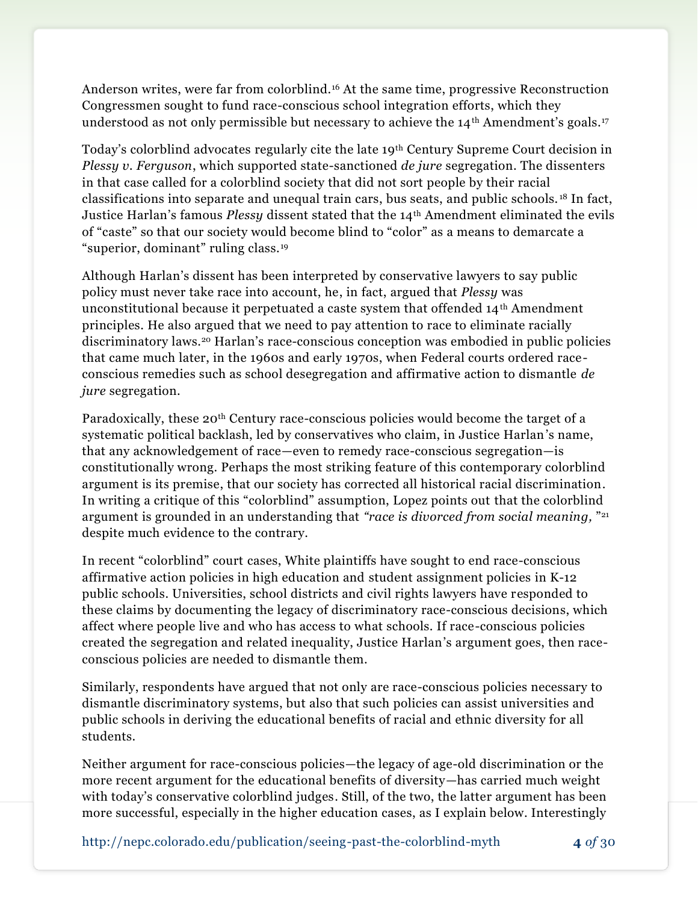Anderson writes, were far from colorblind.<sup>16</sup> At the same time, progressive Reconstruction Congressmen sought to fund race-conscious school integration efforts, which they understood as not only permissible but necessary to achieve the  $14<sup>th</sup>$  Amendment's goals.<sup>17</sup>

Today's colorblind advocates regularly cite the late 19th Century Supreme Court decision in *Plessy v. Ferguson*, which supported state-sanctioned *de jure* segregation. The dissenters in that case called for a colorblind society that did not sort people by their racial classifications into separate and unequal train cars, bus seats, and public schools. <sup>18</sup> In fact, Justice Harlan's famous *Plessy* dissent stated that the 14th Amendment eliminated the evils of "caste" so that our society would become blind to "color" as a means to demarcate a "superior, dominant" ruling class.<sup>19</sup>

Although Harlan's dissent has been interpreted by conservative lawyers to say public policy must never take race into account, he, in fact, argued that *Plessy* was unconstitutional because it perpetuated a caste system that offended 14<sup>th</sup> Amendment principles. He also argued that we need to pay attention to race to eliminate racially discriminatory laws.<sup>20</sup> Harlan's race-conscious conception was embodied in public policies that came much later, in the 1960s and early 1970s, when Federal courts ordered raceconscious remedies such as school desegregation and affirmative action to dismantle *de jure* segregation.

Paradoxically, these 20th Century race-conscious policies would become the target of a systematic political backlash, led by conservatives who claim, in Justice Harlan's name, that any acknowledgement of race—even to remedy race-conscious segregation—is constitutionally wrong. Perhaps the most striking feature of this contemporary colorblind argument is its premise, that our society has corrected all historical racial discrimination. In writing a critique of this "colorblind" assumption, Lopez points out that the colorblind argument is grounded in an understanding that *"race is divorced from social meaning,* " 21 despite much evidence to the contrary.

In recent "colorblind" court cases, White plaintiffs have sought to end race-conscious affirmative action policies in high education and student assignment policies in K-12 public schools. Universities, school districts and civil rights lawyers have responded to these claims by documenting the legacy of discriminatory race-conscious decisions, which affect where people live and who has access to what schools. If race-conscious policies created the segregation and related inequality, Justice Harlan's argument goes, then raceconscious policies are needed to dismantle them.

Similarly, respondents have argued that not only are race-conscious policies necessary to dismantle discriminatory systems, but also that such policies can assist universities and public schools in deriving the educational benefits of racial and ethnic diversity for all students.

Neither argument for race-conscious policies—the legacy of age-old discrimination or the more recent argument for the educational benefits of diversity—has carried much weight with today's conservative colorblind judges. Still, of the two, the latter argument has been more successful, especially in the higher education cases, as I explain below. Interestingly

http://nepc.colorado.edu/publication/seeing-past-the-colorblind-myth **4** *of* 30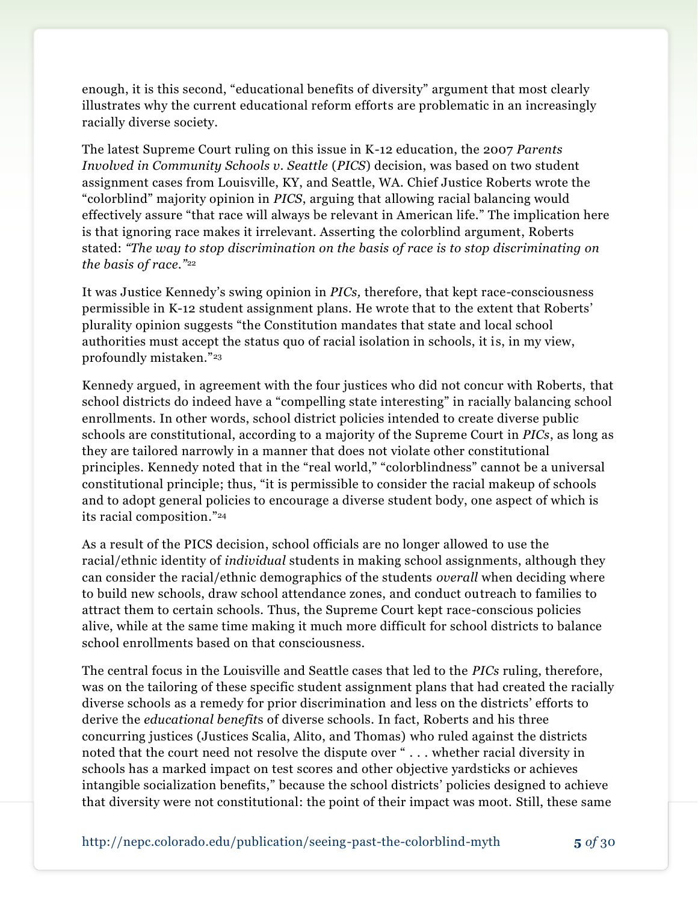enough, it is this second, "educational benefits of diversity" argument that most clearly illustrates why the current educational reform efforts are problematic in an increasingly racially diverse society.

The latest Supreme Court ruling on this issue in K-12 education, the 2007 *Parents Involved in Community Schools v. Seattle* (*PICS*) decision, was based on two student assignment cases from Louisville, KY, and Seattle, WA. Chief Justice Roberts wrote the "colorblind" majority opinion in *PICS*, arguing that allowing racial balancing would effectively assure "that race will always be relevant in American life." The implication here is that ignoring race makes it irrelevant. Asserting the colorblind argument, Roberts stated: *"The way to stop discrimination on the basis of race is to stop discriminating on the basis of race."*<sup>22</sup>

It was Justice Kennedy's swing opinion in *PICs,* therefore, that kept race-consciousness permissible in K-12 student assignment plans. He wrote that to the extent that Roberts' plurality opinion suggests "the Constitution mandates that state and local school authorities must accept the status quo of racial isolation in schools, it is, in my view, profoundly mistaken."<sup>23</sup>

Kennedy argued, in agreement with the four justices who did not concur with Roberts, that school districts do indeed have a "compelling state interesting" in racially balancing school enrollments. In other words, school district policies intended to create diverse public schools are constitutional, according to a majority of the Supreme Court in *PICs*, as long as they are tailored narrowly in a manner that does not violate other constitutional principles. Kennedy noted that in the "real world," "colorblindness" cannot be a universal constitutional principle; thus, "it is permissible to consider the racial makeup of schools and to adopt general policies to encourage a diverse student body, one aspect of which is its racial composition." 24

As a result of the PICS decision, school officials are no longer allowed to use the racial/ethnic identity of *individual* students in making school assignments, although they can consider the racial/ethnic demographics of the students *overall* when deciding where to build new schools, draw school attendance zones, and conduct outreach to families to attract them to certain schools. Thus, the Supreme Court kept race-conscious policies alive, while at the same time making it much more difficult for school districts to balance school enrollments based on that consciousness.

The central focus in the Louisville and Seattle cases that led to the *PICs* ruling, therefore, was on the tailoring of these specific student assignment plans that had created the racially diverse schools as a remedy for prior discrimination and less on the districts' efforts to derive the *educational benefit*s of diverse schools. In fact, Roberts and his three concurring justices (Justices Scalia, Alito, and Thomas) who ruled against the districts noted that the court need not resolve the dispute over " . . . whether racial diversity in schools has a marked impact on test scores and other objective yardsticks or achieves intangible socialization benefits," because the school districts' policies designed to achieve that diversity were not constitutional: the point of their impact was moot. Still, these same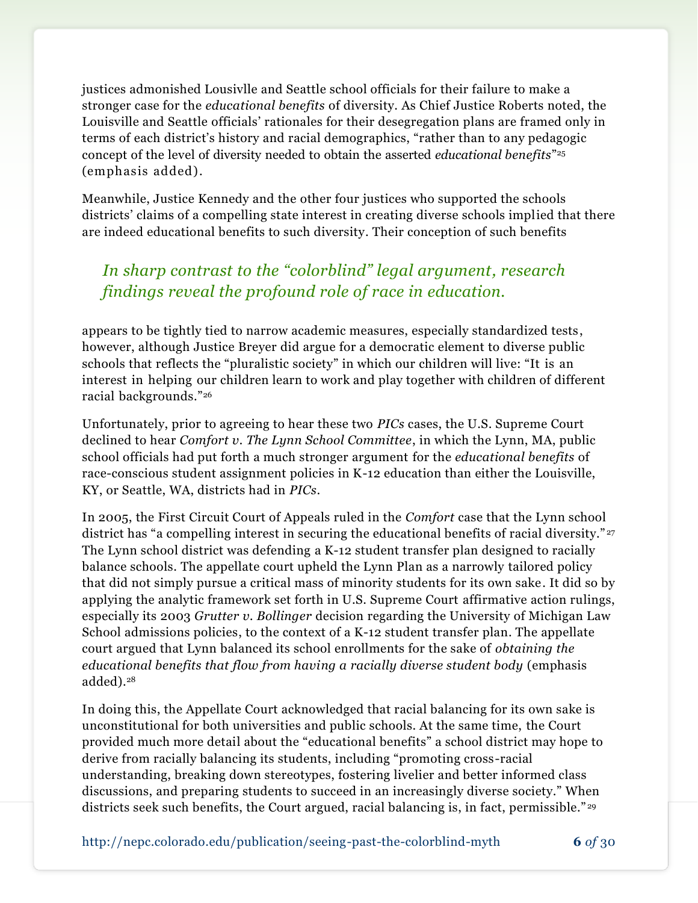justices admonished Lousivlle and Seattle school officials for their failure to make a stronger case for the *educational benefits* of diversity. As Chief Justice Roberts noted, the Louisville and Seattle officials' rationales for their desegregation plans are framed only in terms of each district's history and racial demographics, "rather than to any pedagogic concept of the level of diversity needed to obtain the asserted *educational benefits*" 25 (emphasis added).

Meanwhile, Justice Kennedy and the other four justices who supported the schools districts' claims of a compelling state interest in creating diverse schools implied that there are indeed educational benefits to such diversity. Their conception of such benefits

## *In sharp contrast to the "colorblind" legal argument, research findings reveal the profound role of race in education.*

appears to be tightly tied to narrow academic measures, especially standardized tests, however, although Justice Breyer did argue for a democratic element to diverse public schools that reflects the "pluralistic society" in which our children will live: "It is an interest in helping our children learn to work and play together with children of different racial backgrounds."<sup>26</sup>

Unfortunately, prior to agreeing to hear these two *PICs* cases, the U.S. Supreme Court declined to hear *Comfort v. The Lynn School Committee*, in which the Lynn, MA, public school officials had put forth a much stronger argument for the *educational benefits* of race-conscious student assignment policies in K-12 education than either the Louisville, KY, or Seattle, WA, districts had in *PICs*.

In 2005, the First Circuit Court of Appeals ruled in the *Comfort* case that the Lynn school district has "a compelling interest in securing the educational benefits of racial diversity."<sup>27</sup> The Lynn school district was defending a K-12 student transfer plan designed to racially balance schools. The appellate court upheld the Lynn Plan as a narrowly tailored policy that did not simply pursue a critical mass of minority students for its own sake. It did so by applying the analytic framework set forth in U.S. Supreme Court affirmative action rulings, especially its 2003 *Grutter v. Bollinger* decision regarding the University of Michigan Law School admissions policies, to the context of a K-12 student transfer plan. The appellate court argued that Lynn balanced its school enrollments for the sake of *obtaining the educational benefits that flow from having a racially diverse student body* (emphasis added).<sup>28</sup>

In doing this, the Appellate Court acknowledged that racial balancing for its own sake is unconstitutional for both universities and public schools. At the same time, the Court provided much more detail about the "educational benefits" a school district may hope to derive from racially balancing its students, including "promoting cross-racial understanding, breaking down stereotypes, fostering livelier and better informed class discussions, and preparing students to succeed in an increasingly diverse society." When districts seek such benefits, the Court argued, racial balancing is, in fact, permissible."<sup>29</sup>

http://nepc.colorado.edu/publication/seeing-past-the-colorblind-myth **6** *of* 30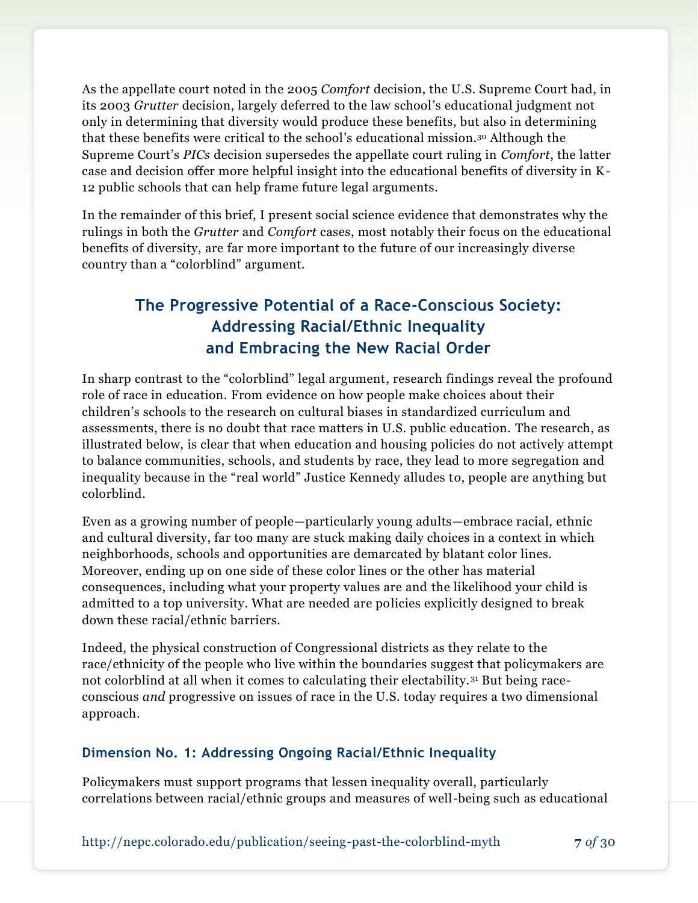As the appellate court noted in the 2005 *Comfort* decision, the U.S. Supreme Court had, in its 2003 *Grutter* decision, largely deferred to the law school's educational judgment not only in determining that diversity would produce these benefits, but also in determining that these benefits were critical to the school's educational mission.<sup>30</sup> Although the Supreme Court's *PICs* decision supersedes the appellate court ruling in *Comfort*, the latter case and decision offer more helpful insight into the educational benefits of diversity in K-12 public schools that can help frame future legal arguments.

In the remainder of this brief, I present social science evidence that demonstrates why the rulings in both the *Grutter* and *Comfort* cases, most notably their focus on the educational benefits of diversity, are far more important to the future of our increasingly diverse country than a "colorblind" argument.

## **The Progressive Potential of a Race-Conscious Society: Addressing Racial/Ethnic Inequality and Embracing the New Racial Order**

In sharp contrast to the "colorblind" legal argument, research findings reveal the profound role of race in education. From evidence on how people make choices about their children's schools to the research on cultural biases in standardized curriculum and assessments, there is no doubt that race matters in U.S. public education. The research, as illustrated below, is clear that when education and housing policies do not actively attempt to balance communities, schools, and students by race, they lead to more segregation and inequality because in the "real world" Justice Kennedy alludes to, people are anything but colorblind.

Even as a growing number of people—particularly young adults—embrace racial, ethnic and cultural diversity, far too many are stuck making daily choices in a context in which neighborhoods, schools and opportunities are demarcated by blatant color lines. Moreover, ending up on one side of these color lines or the other has material consequences, including what your property values are and the likelihood your child is admitted to a top university. What are needed are policies explicitly designed to break down these racial/ethnic barriers.

Indeed, the physical construction of Congressional districts as they relate to the race/ethnicity of the people who live within the boundaries suggest that policymakers are not colorblind at all when it comes to calculating their electability.<sup>31</sup> But being raceconscious *and* progressive on issues of race in the U.S. today requires a two dimensional approach.

#### **Dimension No. 1: Addressing Ongoing Racial/Ethnic Inequality**

Policymakers must support programs that lessen inequality overall, particularly correlations between racial/ethnic groups and measures of well-being such as educational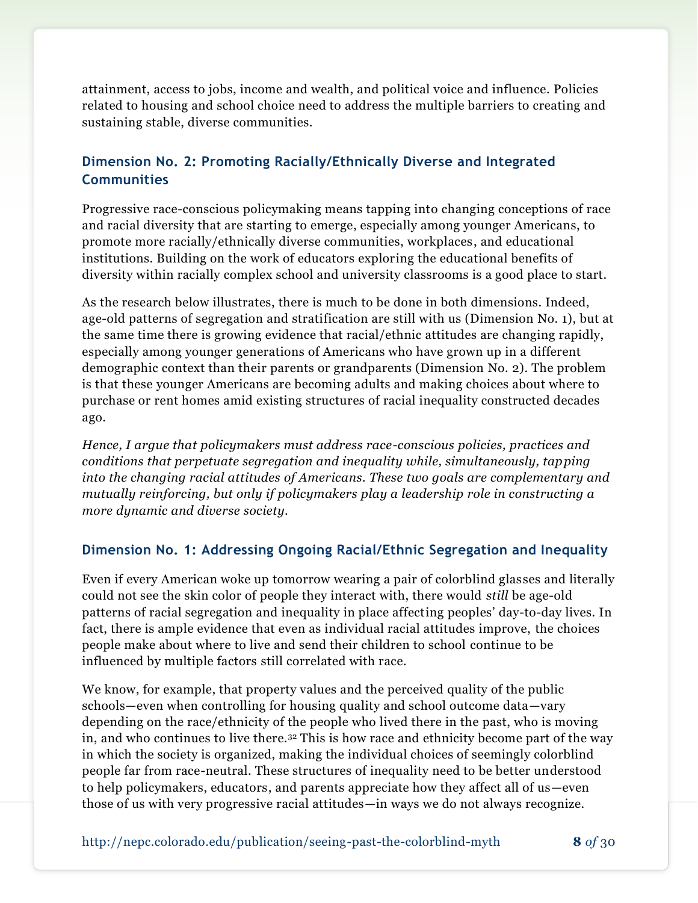attainment, access to jobs, income and wealth, and political voice and influence. Policies related to housing and school choice need to address the multiple barriers to creating and sustaining stable, diverse communities.

## **Dimension No. 2: Promoting Racially/Ethnically Diverse and Integrated Communities**

Progressive race-conscious policymaking means tapping into changing conceptions of race and racial diversity that are starting to emerge, especially among younger Americans, to promote more racially/ethnically diverse communities, workplaces, and educational institutions. Building on the work of educators exploring the educational benefits of diversity within racially complex school and university classrooms is a good place to start.

As the research below illustrates, there is much to be done in both dimensions. Indeed, age-old patterns of segregation and stratification are still with us (Dimension No. 1), but at the same time there is growing evidence that racial/ethnic attitudes are changing rapidly, especially among younger generations of Americans who have grown up in a different demographic context than their parents or grandparents (Dimension No. 2). The problem is that these younger Americans are becoming adults and making choices about where to purchase or rent homes amid existing structures of racial inequality constructed decades ago.

*Hence, I argue that policymakers must address race-conscious policies, practices and conditions that perpetuate segregation and inequality while, simultaneously, tapping into the changing racial attitudes of Americans. These two goals are complementary and mutually reinforcing, but only if policymakers play a leadership role in constructing a more dynamic and diverse society.* 

## **Dimension No. 1: Addressing Ongoing Racial/Ethnic Segregation and Inequality**

Even if every American woke up tomorrow wearing a pair of colorblind glasses and literally could not see the skin color of people they interact with, there would *still* be age-old patterns of racial segregation and inequality in place affecting peoples' day-to-day lives. In fact, there is ample evidence that even as individual racial attitudes improve, the choices people make about where to live and send their children to school continue to be influenced by multiple factors still correlated with race.

We know, for example, that property values and the perceived quality of the public schools—even when controlling for housing quality and school outcome data—vary depending on the race/ethnicity of the people who lived there in the past, who is moving in, and who continues to live there.<sup>32</sup> This is how race and ethnicity become part of the way in which the society is organized, making the individual choices of seemingly colorblind people far from race-neutral. These structures of inequality need to be better understood to help policymakers, educators, and parents appreciate how they affect all of us—even those of us with very progressive racial attitudes—in ways we do not always recognize.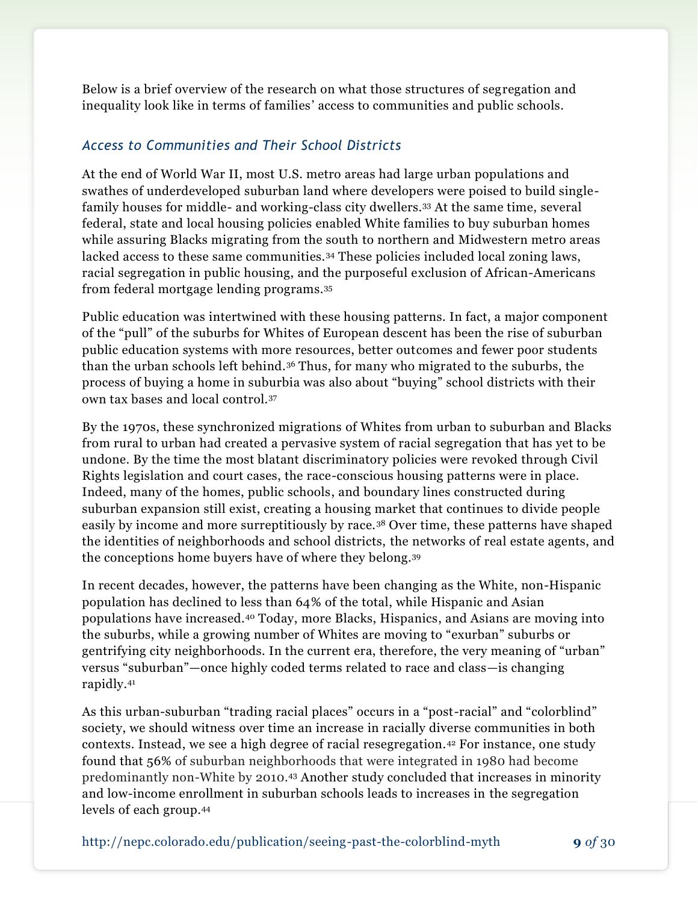Below is a brief overview of the research on what those structures of segregation and inequality look like in terms of families' access to communities and public schools.

### *Access to Communities and Their School Districts*

At the end of World War II, most U.S. metro areas had large urban populations and swathes of underdeveloped suburban land where developers were poised to build singlefamily houses for middle- and working-class city dwellers.<sup>33</sup> At the same time, several federal, state and local housing policies enabled White families to buy suburban homes while assuring Blacks migrating from the south to northern and Midwestern metro areas lacked access to these same communities.<sup>34</sup> These policies included local zoning laws, racial segregation in public housing, and the purposeful exclusion of African-Americans from federal mortgage lending programs.<sup>35</sup>

Public education was intertwined with these housing patterns. In fact, a major component of the "pull" of the suburbs for Whites of European descent has been the rise of suburban public education systems with more resources, better outcomes and fewer poor students than the urban schools left behind.<sup>36</sup> Thus, for many who migrated to the suburbs, the process of buying a home in suburbia was also about "buying" school districts with their own tax bases and local control.<sup>37</sup>

By the 1970s, these synchronized migrations of Whites from urban to suburban and Blacks from rural to urban had created a pervasive system of racial segregation that has yet to be undone. By the time the most blatant discriminatory policies were revoked through Civil Rights legislation and court cases, the race-conscious housing patterns were in place. Indeed, many of the homes, public schools, and boundary lines constructed during suburban expansion still exist, creating a housing market that continues to divide people easily by income and more surreptitiously by race.<sup>38</sup> Over time, these patterns have shaped the identities of neighborhoods and school districts, the networks of real estate agents, and the conceptions home buyers have of where they belong.<sup>39</sup>

In recent decades, however, the patterns have been changing as the White, non-Hispanic population has declined to less than 64% of the total, while Hispanic and Asian populations have increased.<sup>40</sup> Today, more Blacks, Hispanics, and Asians are moving into the suburbs, while a growing number of Whites are moving to "exurban" suburbs or gentrifying city neighborhoods. In the current era, therefore, the very meaning of "urban" versus "suburban"—once highly coded terms related to race and class—is changing rapidly.<sup>41</sup>

As this urban-suburban "trading racial places" occurs in a "post-racial" and "colorblind" society, we should witness over time an increase in racially diverse communities in both contexts. Instead, we see a high degree of racial resegregation.<sup>42</sup> For instance, one study found that 56% of suburban neighborhoods that were integrated in 1980 had become predominantly non-White by 2010.<sup>43</sup> Another study concluded that increases in minority and low-income enrollment in suburban schools leads to increases in the segregation levels of each group.<sup>44</sup>

http://nepc.colorado.edu/publication/seeing-past-the-colorblind-myth **9** *of* 30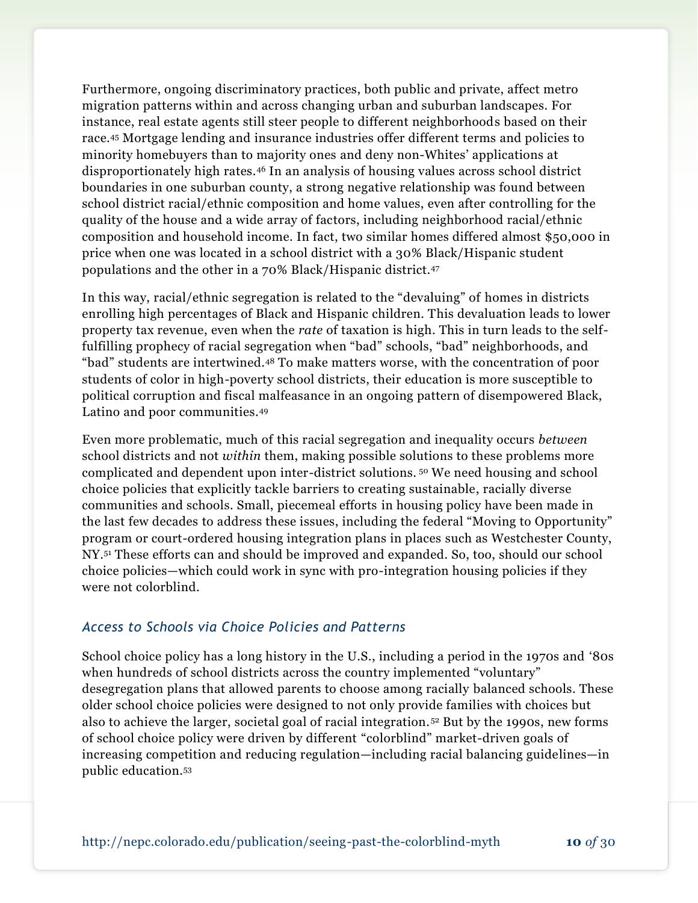Furthermore, ongoing discriminatory practices, both public and private, affect metro migration patterns within and across changing urban and suburban landscapes. For instance, real estate agents still steer people to different neighborhoods based on their race.<sup>45</sup> Mortgage lending and insurance industries offer different terms and policies to minority homebuyers than to majority ones and deny non-Whites' applications at disproportionately high rates.<sup>46</sup> In an analysis of housing values across school district boundaries in one suburban county, a strong negative relationship was found between school district racial/ethnic composition and home values, even after controlling for the quality of the house and a wide array of factors, including neighborhood racial/ethnic composition and household income. In fact, two similar homes differed almost \$50,000 in price when one was located in a school district with a 30% Black/Hispanic student populations and the other in a 70% Black/Hispanic district.<sup>47</sup>

In this way, racial/ethnic segregation is related to the "devaluing" of homes in districts enrolling high percentages of Black and Hispanic children. This devaluation leads to lower property tax revenue, even when the *rate* of taxation is high. This in turn leads to the selffulfilling prophecy of racial segregation when "bad" schools, "bad" neighborhoods, and "bad" students are intertwined.<sup>48</sup> To make matters worse, with the concentration of poor students of color in high-poverty school districts, their education is more susceptible to political corruption and fiscal malfeasance in an ongoing pattern of disempowered Black, Latino and poor communities.<sup>49</sup>

Even more problematic, much of this racial segregation and inequality occurs *between* school districts and not *within* them, making possible solutions to these problems more complicated and dependent upon inter-district solutions. <sup>50</sup> We need housing and school choice policies that explicitly tackle barriers to creating sustainable, racially diverse communities and schools. Small, piecemeal efforts in housing policy have been made in the last few decades to address these issues, including the federal "Moving to Opportunity" program or court-ordered housing integration plans in places such as Westchester County, NY.<sup>51</sup> These efforts can and should be improved and expanded. So, too, should our school choice policies—which could work in sync with pro-integration housing policies if they were not colorblind.

#### *Access to Schools via Choice Policies and Patterns*

School choice policy has a long history in the U.S., including a period in the 1970s and '80s when hundreds of school districts across the country implemented "voluntary" desegregation plans that allowed parents to choose among racially balanced schools. These older school choice policies were designed to not only provide families with choices but also to achieve the larger, societal goal of racial integration. <sup>52</sup> But by the 1990s, new forms of school choice policy were driven by different "colorblind" market-driven goals of increasing competition and reducing regulation—including racial balancing guidelines—in public education.53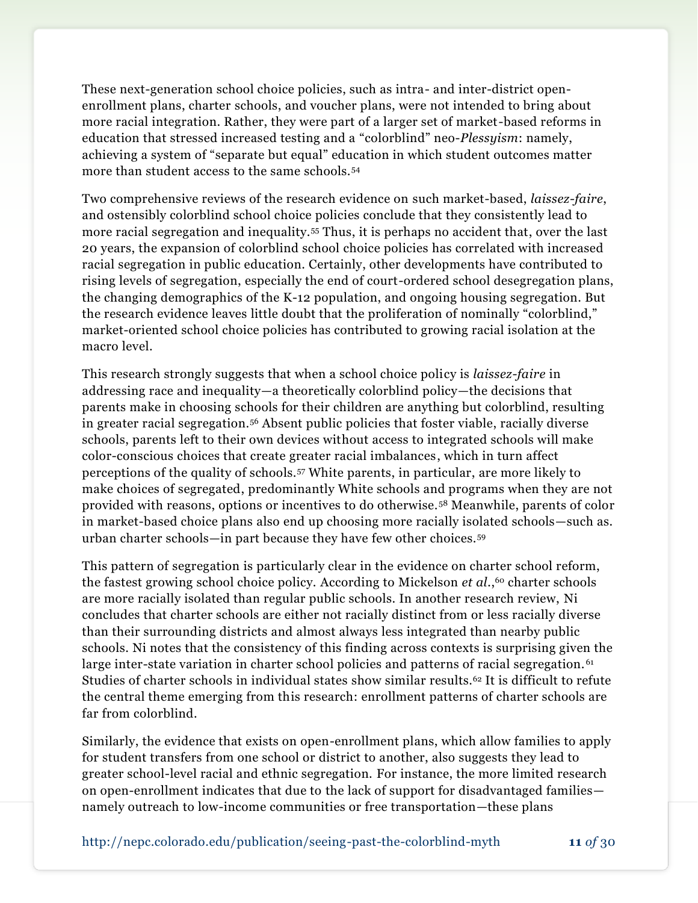These next-generation school choice policies, such as intra- and inter-district openenrollment plans, charter schools, and voucher plans, were not intended to bring about more racial integration. Rather, they were part of a larger set of market-based reforms in education that stressed increased testing and a "colorblind" neo-*Plessyism*: namely, achieving a system of "separate but equal" education in which student outcomes matter more than student access to the same schools.<sup>54</sup>

Two comprehensive reviews of the research evidence on such market-based, *laissez-faire*, and ostensibly colorblind school choice policies conclude that they consistently lead to more racial segregation and inequality.<sup>55</sup> Thus, it is perhaps no accident that, over the last 20 years, the expansion of colorblind school choice policies has correlated with increased racial segregation in public education. Certainly, other developments have contributed to rising levels of segregation, especially the end of court-ordered school desegregation plans, the changing demographics of the K-12 population, and ongoing housing segregation. But the research evidence leaves little doubt that the proliferation of nominally "colorblind," market-oriented school choice policies has contributed to growing racial isolation at the macro level.

This research strongly suggests that when a school choice policy is *laissez-faire* in addressing race and inequality—a theoretically colorblind policy—the decisions that parents make in choosing schools for their children are anything but colorblind, resulting in greater racial segregation.<sup>56</sup> Absent public policies that foster viable, racially diverse schools, parents left to their own devices without access to integrated schools will make color-conscious choices that create greater racial imbalances, which in turn affect perceptions of the quality of schools.<sup>57</sup> White parents, in particular, are more likely to make choices of segregated, predominantly White schools and programs when they are not provided with reasons, options or incentives to do otherwise.<sup>58</sup> Meanwhile, parents of color in market-based choice plans also end up choosing more racially isolated schools—such as. urban charter schools—in part because they have few other choices.<sup>59</sup>

This pattern of segregation is particularly clear in the evidence on charter school reform, the fastest growing school choice policy. According to Mickelson *et al.*,<sup>60</sup> charter schools are more racially isolated than regular public schools. In another research review, Ni concludes that charter schools are either not racially distinct from or less racially diverse than their surrounding districts and almost always less integrated than nearby public schools. Ni notes that the consistency of this finding across contexts is surprising given the large inter-state variation in charter school policies and patterns of racial segregation.<sup>61</sup> Studies of charter schools in individual states show similar results.<sup>62</sup> It is difficult to refute the central theme emerging from this research: enrollment patterns of charter schools are far from colorblind.

Similarly, the evidence that exists on open-enrollment plans, which allow families to apply for student transfers from one school or district to another, also suggests they lead to greater school-level racial and ethnic segregation. For instance, the more limited research on open-enrollment indicates that due to the lack of support for disadvantaged families namely outreach to low-income communities or free transportation—these plans

http://nepc.colorado.edu/publication/seeing-past-the-colorblind-myth **11** *of* 30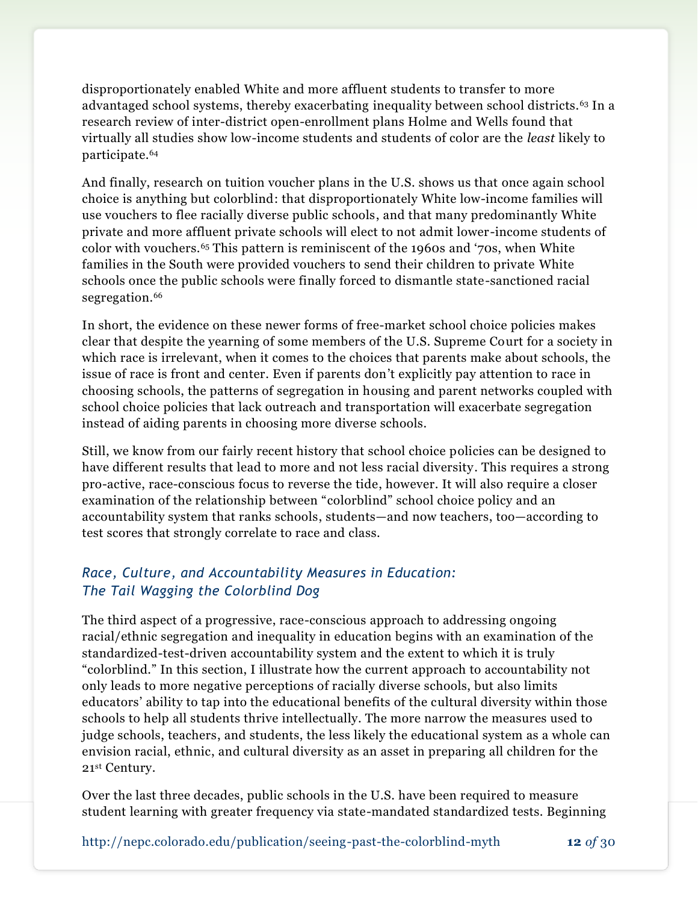disproportionately enabled White and more affluent students to transfer to more advantaged school systems, thereby exacerbating inequality between school districts.<sup>63</sup> In a research review of inter-district open-enrollment plans Holme and Wells found that virtually all studies show low-income students and students of color are the *least* likely to participate.<sup>64</sup>

And finally, research on tuition voucher plans in the U.S. shows us that once again school choice is anything but colorblind: that disproportionately White low-income families will use vouchers to flee racially diverse public schools, and that many predominantly White private and more affluent private schools will elect to not admit lower-income students of color with vouchers.<sup>65</sup> This pattern is reminiscent of the 1960s and '70s, when White families in the South were provided vouchers to send their children to private White schools once the public schools were finally forced to dismantle state-sanctioned racial segregation.<sup>66</sup>

In short, the evidence on these newer forms of free-market school choice policies makes clear that despite the yearning of some members of the U.S. Supreme Court for a society in which race is irrelevant, when it comes to the choices that parents make about schools, the issue of race is front and center. Even if parents don't explicitly pay attention to race in choosing schools, the patterns of segregation in housing and parent networks coupled with school choice policies that lack outreach and transportation will exacerbate segregation instead of aiding parents in choosing more diverse schools.

Still, we know from our fairly recent history that school choice policies can be designed to have different results that lead to more and not less racial diversity. This requires a strong pro-active, race-conscious focus to reverse the tide, however. It will also require a closer examination of the relationship between "colorblind" school choice policy and an accountability system that ranks schools, students—and now teachers, too—according to test scores that strongly correlate to race and class.

## *Race, Culture, and Accountability Measures in Education: The Tail Wagging the Colorblind Dog*

The third aspect of a progressive, race-conscious approach to addressing ongoing racial/ethnic segregation and inequality in education begins with an examination of the standardized-test-driven accountability system and the extent to which it is truly "colorblind." In this section, I illustrate how the current approach to accountability not only leads to more negative perceptions of racially diverse schools, but also limits educators' ability to tap into the educational benefits of the cultural diversity within those schools to help all students thrive intellectually. The more narrow the measures used to judge schools, teachers, and students, the less likely the educational system as a whole can envision racial, ethnic, and cultural diversity as an asset in preparing all children for the 21st Century.

Over the last three decades, public schools in the U.S. have been required to measure student learning with greater frequency via state-mandated standardized tests. Beginning

http://nepc.colorado.edu/publication/seeing-past-the-colorblind-myth **12** *of* 30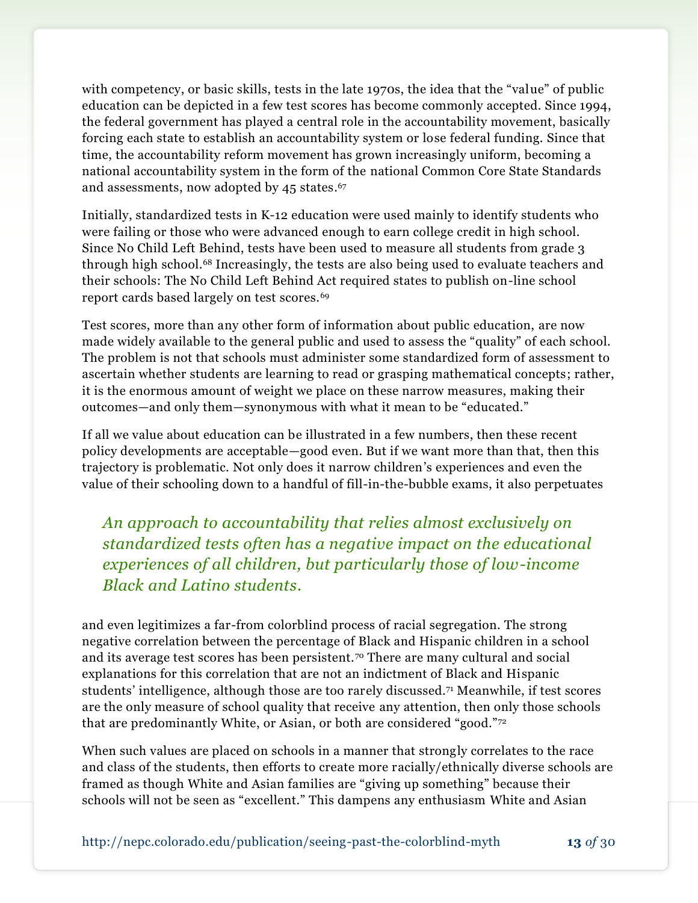with competency, or basic skills, tests in the late 1970s, the idea that the "value" of public education can be depicted in a few test scores has become commonly accepted. Since 1994, the federal government has played a central role in the accountability movement, basically forcing each state to establish an accountability system or lose federal funding. Since that time, the accountability reform movement has grown increasingly uniform, becoming a national accountability system in the form of the national Common Core State Standards and assessments, now adopted by 45 states. 67

Initially, standardized tests in K-12 education were used mainly to identify students who were failing or those who were advanced enough to earn college credit in high school. Since No Child Left Behind, tests have been used to measure all students from grade 3 through high school.<sup>68</sup> Increasingly, the tests are also being used to evaluate teachers and their schools: The No Child Left Behind Act required states to publish on-line school report cards based largely on test scores.<sup>69</sup>

Test scores, more than any other form of information about public education, are now made widely available to the general public and used to assess the "quality" of each school. The problem is not that schools must administer some standardized form of assessment to ascertain whether students are learning to read or grasping mathematical concepts; rather, it is the enormous amount of weight we place on these narrow measures, making their outcomes—and only them—synonymous with what it mean to be "educated."

If all we value about education can be illustrated in a few numbers, then these recent policy developments are acceptable—good even. But if we want more than that, then this trajectory is problematic. Not only does it narrow children's experiences and even the value of their schooling down to a handful of fill-in-the-bubble exams, it also perpetuates

*An approach to accountability that relies almost exclusively on standardized tests often has a negative impact on the educational experiences of all children, but particularly those of low-income Black and Latino students.*

and even legitimizes a far-from colorblind process of racial segregation. The strong negative correlation between the percentage of Black and Hispanic children in a school and its average test scores has been persistent.<sup>70</sup> There are many cultural and social explanations for this correlation that are not an indictment of Black and Hispanic students' intelligence, although those are too rarely discussed.<sup>71</sup> Meanwhile, if test scores are the only measure of school quality that receive any attention, then only those schools that are predominantly White, or Asian, or both are considered "good."<sup>72</sup>

When such values are placed on schools in a manner that strongly correlates to the race and class of the students, then efforts to create more racially/ethnically diverse schools are framed as though White and Asian families are "giving up something" because their schools will not be seen as "excellent." This dampens any enthusiasm White and Asian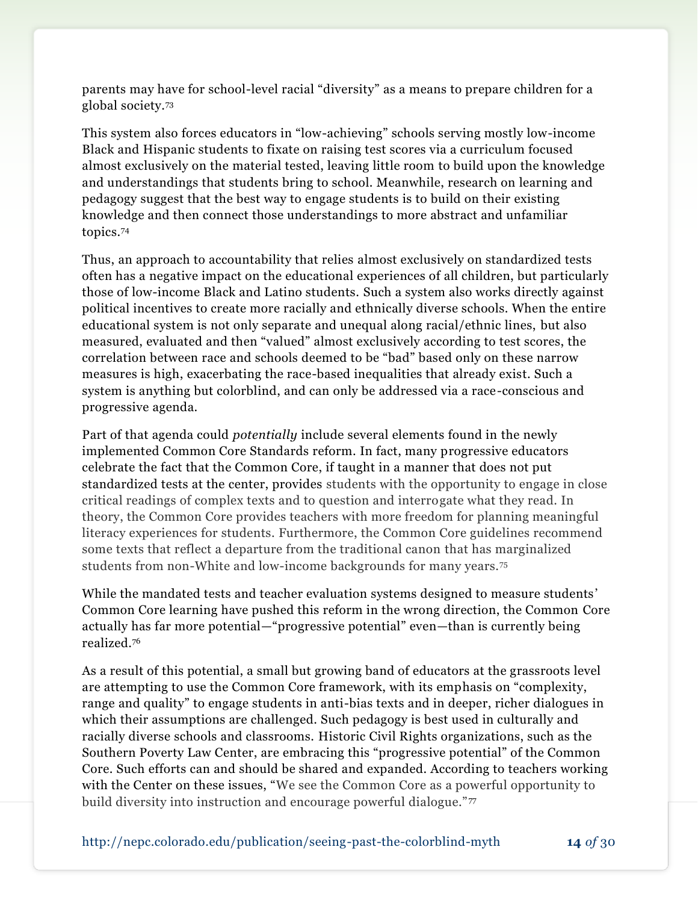parents may have for school-level racial "diversity" as a means to prepare children for a global society.<sup>73</sup>

This system also forces educators in "low-achieving" schools serving mostly low-income Black and Hispanic students to fixate on raising test scores via a curriculum focused almost exclusively on the material tested, leaving little room to build upon the knowledge and understandings that students bring to school. Meanwhile, research on learning and pedagogy suggest that the best way to engage students is to build on their existing knowledge and then connect those understandings to more abstract and unfamiliar topics.<sup>74</sup>

Thus, an approach to accountability that relies almost exclusively on standardized tests often has a negative impact on the educational experiences of all children, but particularly those of low-income Black and Latino students. Such a system also works directly against political incentives to create more racially and ethnically diverse schools. When the entire educational system is not only separate and unequal along racial/ethnic lines, but also measured, evaluated and then "valued" almost exclusively according to test scores, the correlation between race and schools deemed to be "bad" based only on these narrow measures is high, exacerbating the race-based inequalities that already exist. Such a system is anything but colorblind, and can only be addressed via a race-conscious and progressive agenda.

Part of that agenda could *potentially* include several elements found in the newly implemented Common Core Standards reform. In fact, many progressive educators celebrate the fact that the Common Core, if taught in a manner that does not put standardized tests at the center, provides students with the opportunity to engage in close critical readings of complex texts and to question and interrogate what they read. In theory, the Common Core provides teachers with more freedom for planning meaningful literacy experiences for students. Furthermore, the Common Core guidelines recommend some texts that reflect a departure from the traditional canon that has marginalized students from non-White and low-income backgrounds for many years.<sup>75</sup>

While the mandated tests and teacher evaluation systems designed to measure students' Common Core learning have pushed this reform in the wrong direction, the Common Core actually has far more potential—"progressive potential" even—than is currently being realized.<sup>76</sup>

As a result of this potential, a small but growing band of educators at the grassroots level are attempting to use the Common Core framework, with its emphasis on "complexity, range and quality" to engage students in anti-bias texts and in deeper, richer dialogues in which their assumptions are challenged. Such pedagogy is best used in culturally and racially diverse schools and classrooms. Historic Civil Rights organizations, such as the Southern Poverty Law Center, are embracing this "progressive potential" of the Common Core. Such efforts can and should be shared and expanded. According to teachers working with the Center on these issues, "We see the Common Core as a powerful opportunity to build diversity into instruction and encourage powerful dialogue."77

http://nepc.colorado.edu/publication/seeing-past-the-colorblind-myth **14** *of* 30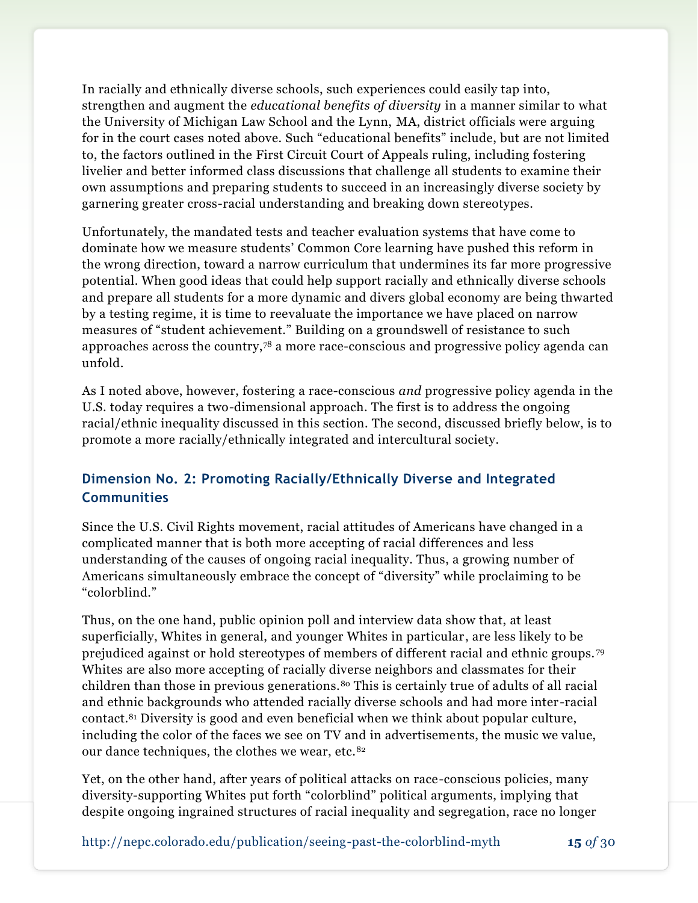In racially and ethnically diverse schools, such experiences could easily tap into, strengthen and augment the *educational benefits of diversity* in a manner similar to what the University of Michigan Law School and the Lynn, MA, district officials were arguing for in the court cases noted above. Such "educational benefits" include, but are not limited to, the factors outlined in the First Circuit Court of Appeals ruling, including fostering livelier and better informed class discussions that challenge all students to examine their own assumptions and preparing students to succeed in an increasingly diverse society by garnering greater cross-racial understanding and breaking down stereotypes.

Unfortunately, the mandated tests and teacher evaluation systems that have come to dominate how we measure students' Common Core learning have pushed this reform in the wrong direction, toward a narrow curriculum that undermines its far more progressive potential. When good ideas that could help support racially and ethnically diverse schools and prepare all students for a more dynamic and divers global economy are being thwarted by a testing regime, it is time to reevaluate the importance we have placed on narrow measures of "student achievement." Building on a groundswell of resistance to such approaches across the country,<sup>78</sup> a more race-conscious and progressive policy agenda can unfold.

As I noted above, however, fostering a race-conscious *and* progressive policy agenda in the U.S. today requires a two-dimensional approach. The first is to address the ongoing racial/ethnic inequality discussed in this section. The second, discussed briefly below, is to promote a more racially/ethnically integrated and intercultural society.

## **Dimension No. 2: Promoting Racially/Ethnically Diverse and Integrated Communities**

Since the U.S. Civil Rights movement, racial attitudes of Americans have changed in a complicated manner that is both more accepting of racial differences and less understanding of the causes of ongoing racial inequality. Thus, a growing number of Americans simultaneously embrace the concept of "diversity" while proclaiming to be "colorblind."

Thus, on the one hand, public opinion poll and interview data show that, at least superficially, Whites in general, and younger Whites in particular, are less likely to be prejudiced against or hold stereotypes of members of different racial and ethnic groups. <sup>79</sup> Whites are also more accepting of racially diverse neighbors and classmates for their children than those in previous generations.<sup>80</sup> This is certainly true of adults of all racial and ethnic backgrounds who attended racially diverse schools and had more inter -racial contact.<sup>81</sup> Diversity is good and even beneficial when we think about popular culture, including the color of the faces we see on TV and in advertisements, the music we value, our dance techniques, the clothes we wear, etc.<sup>82</sup>

Yet, on the other hand, after years of political attacks on race-conscious policies, many diversity-supporting Whites put forth "colorblind" political arguments, implying that despite ongoing ingrained structures of racial inequality and segregation, race no longer

http://nepc.colorado.edu/publication/seeing-past-the-colorblind-myth **15** *of* 30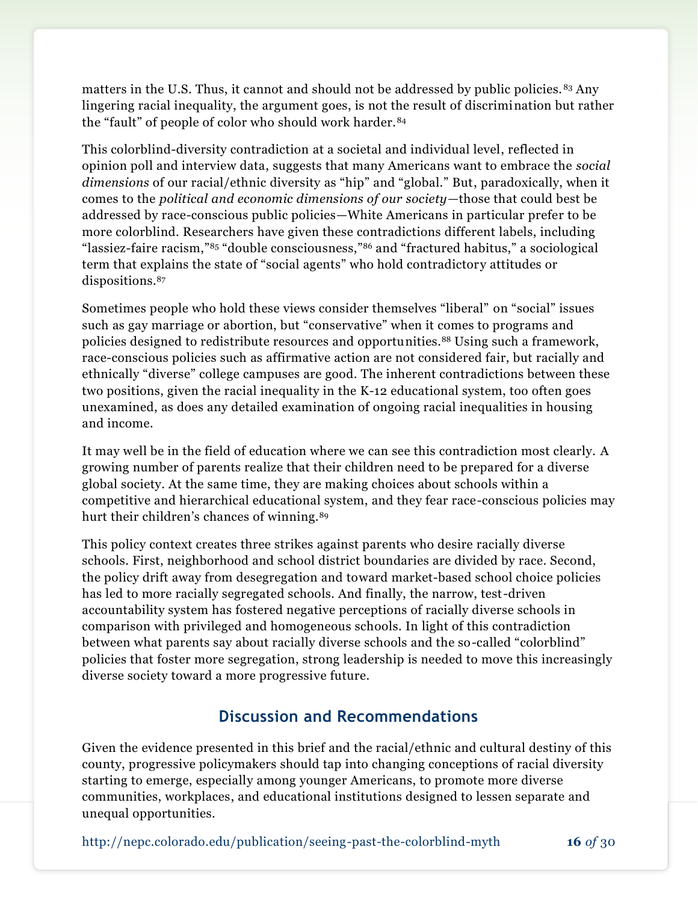matters in the U.S. Thus, it cannot and should not be addressed by public policies. <sup>83</sup> Any lingering racial inequality, the argument goes, is not the result of discrimination but rather the "fault" of people of color who should work harder.<sup>84</sup>

This colorblind-diversity contradiction at a societal and individual level, reflected in opinion poll and interview data, suggests that many Americans want to embrace the *social dimensions* of our racial/ethnic diversity as "hip" and "global." But, paradoxically, when it comes to the *political and economic dimensions of our society—*those that could best be addressed by race-conscious public policies—White Americans in particular prefer to be more colorblind. Researchers have given these contradictions different labels, including "lassiez-faire racism,"<sup>85</sup> "double consciousness,"<sup>86</sup> and "fractured habitus," a sociological term that explains the state of "social agents" who hold contradictory attitudes or dispositions.<sup>87</sup>

Sometimes people who hold these views consider themselves "liberal" on "social" issues such as gay marriage or abortion, but "conservative" when it comes to programs and policies designed to redistribute resources and opportunities.<sup>88</sup> Using such a framework, race-conscious policies such as affirmative action are not considered fair, but racially and ethnically "diverse" college campuses are good. The inherent contradictions between these two positions, given the racial inequality in the K-12 educational system, too often goes unexamined, as does any detailed examination of ongoing racial inequalities in housing and income.

It may well be in the field of education where we can see this contradiction most clearly. A growing number of parents realize that their children need to be prepared for a diverse global society. At the same time, they are making choices about schools within a competitive and hierarchical educational system, and they fear race-conscious policies may hurt their children's chances of winning.<sup>89</sup>

This policy context creates three strikes against parents who desire racially diverse schools. First, neighborhood and school district boundaries are divided by race. Second, the policy drift away from desegregation and toward market-based school choice policies has led to more racially segregated schools. And finally, the narrow, test-driven accountability system has fostered negative perceptions of racially diverse schools in comparison with privileged and homogeneous schools. In light of this contradiction between what parents say about racially diverse schools and the so-called "colorblind" policies that foster more segregation, strong leadership is needed to move this increasingly diverse society toward a more progressive future.

## **Discussion and Recommendations**

Given the evidence presented in this brief and the racial/ethnic and cultural destiny of this county, progressive policymakers should tap into changing conceptions of racial diversity starting to emerge, especially among younger Americans, to promote more diverse communities, workplaces, and educational institutions designed to lessen separate and unequal opportunities.

http://nepc.colorado.edu/publication/seeing-past-the-colorblind-myth **16** *of* 30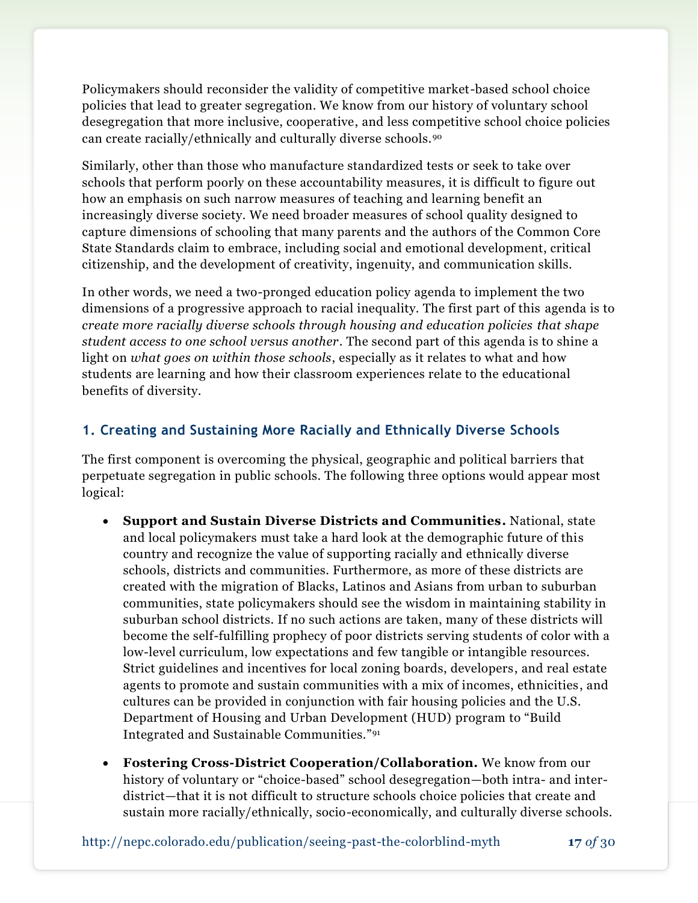Policymakers should reconsider the validity of competitive market-based school choice policies that lead to greater segregation. We know from our history of voluntary school desegregation that more inclusive, cooperative, and less competitive school choice policies can create racially/ethnically and culturally diverse schools.<sup>90</sup>

Similarly, other than those who manufacture standardized tests or seek to take over schools that perform poorly on these accountability measures, it is difficult to figure out how an emphasis on such narrow measures of teaching and learning benefit an increasingly diverse society. We need broader measures of school quality designed to capture dimensions of schooling that many parents and the authors of the Common Core State Standards claim to embrace, including social and emotional development, critical citizenship, and the development of creativity, ingenuity, and communication skills.

In other words, we need a two-pronged education policy agenda to implement the two dimensions of a progressive approach to racial inequality. The first part of this agenda is to *create more racially diverse schools through housing and education policies that shape student access to one school versus another*. The second part of this agenda is to shine a light on *what goes on within those schools*, especially as it relates to what and how students are learning and how their classroom experiences relate to the educational benefits of diversity.

## **1. Creating and Sustaining More Racially and Ethnically Diverse Schools**

The first component is overcoming the physical, geographic and political barriers that perpetuate segregation in public schools. The following three options would appear most logical:

- **Support and Sustain Diverse Districts and Communities.** National, state and local policymakers must take a hard look at the demographic future of this country and recognize the value of supporting racially and ethnically diverse schools, districts and communities. Furthermore, as more of these districts are created with the migration of Blacks, Latinos and Asians from urban to suburban communities, state policymakers should see the wisdom in maintaining stability in suburban school districts. If no such actions are taken, many of these districts will become the self-fulfilling prophecy of poor districts serving students of color with a low-level curriculum, low expectations and few tangible or intangible resources. Strict guidelines and incentives for local zoning boards, developers, and real estate agents to promote and sustain communities with a mix of incomes, ethnicities, and cultures can be provided in conjunction with fair housing policies and the U.S. Department of Housing and Urban Development (HUD) program to "Build Integrated and Sustainable Communities."<sup>91</sup>
- **Fostering Cross-District Cooperation/Collaboration.** We know from our history of voluntary or "choice-based" school desegregation—both intra- and interdistrict—that it is not difficult to structure schools choice policies that create and sustain more racially/ethnically, socio-economically, and culturally diverse schools.

http://nepc.colorado.edu/publication/seeing-past-the-colorblind-myth **17** *of* 30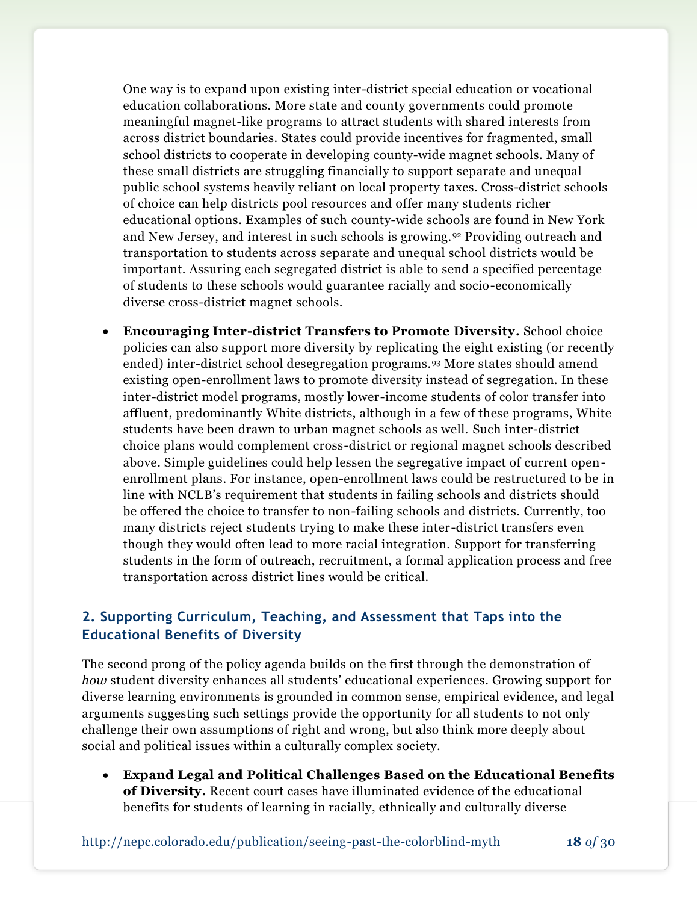One way is to expand upon existing inter-district special education or vocational education collaborations. More state and county governments could promote meaningful magnet-like programs to attract students with shared interests from across district boundaries. States could provide incentives for fragmented, small school districts to cooperate in developing county-wide magnet schools. Many of these small districts are struggling financially to support separate and unequal public school systems heavily reliant on local property taxes. Cross-district schools of choice can help districts pool resources and offer many students richer educational options. Examples of such county-wide schools are found in New York and New Jersey, and interest in such schools is growing.<sup>92</sup> Providing outreach and transportation to students across separate and unequal school districts would be important. Assuring each segregated district is able to send a specified percentage of students to these schools would guarantee racially and socio-economically diverse cross-district magnet schools.

 **Encouraging Inter-district Transfers to Promote Diversity.** School choice policies can also support more diversity by replicating the eight existing (or recently ended) inter-district school desegregation programs.<sup>93</sup> More states should amend existing open-enrollment laws to promote diversity instead of segregation. In these inter-district model programs, mostly lower-income students of color transfer into affluent, predominantly White districts, although in a few of these programs, White students have been drawn to urban magnet schools as well. Such inter-district choice plans would complement cross-district or regional magnet schools described above. Simple guidelines could help lessen the segregative impact of current openenrollment plans. For instance, open-enrollment laws could be restructured to be in line with NCLB's requirement that students in failing schools and districts should be offered the choice to transfer to non-failing schools and districts. Currently, too many districts reject students trying to make these inter-district transfers even though they would often lead to more racial integration. Support for transferring students in the form of outreach, recruitment, a formal application process and free transportation across district lines would be critical.

## **2. Supporting Curriculum, Teaching, and Assessment that Taps into the Educational Benefits of Diversity**

The second prong of the policy agenda builds on the first through the demonstration of *how* student diversity enhances all students' educational experiences. Growing support for diverse learning environments is grounded in common sense, empirical evidence, and legal arguments suggesting such settings provide the opportunity for all students to not only challenge their own assumptions of right and wrong, but also think more deeply about social and political issues within a culturally complex society.

 **Expand Legal and Political Challenges Based on the Educational Benefits of Diversity.** Recent court cases have illuminated evidence of the educational benefits for students of learning in racially, ethnically and culturally diverse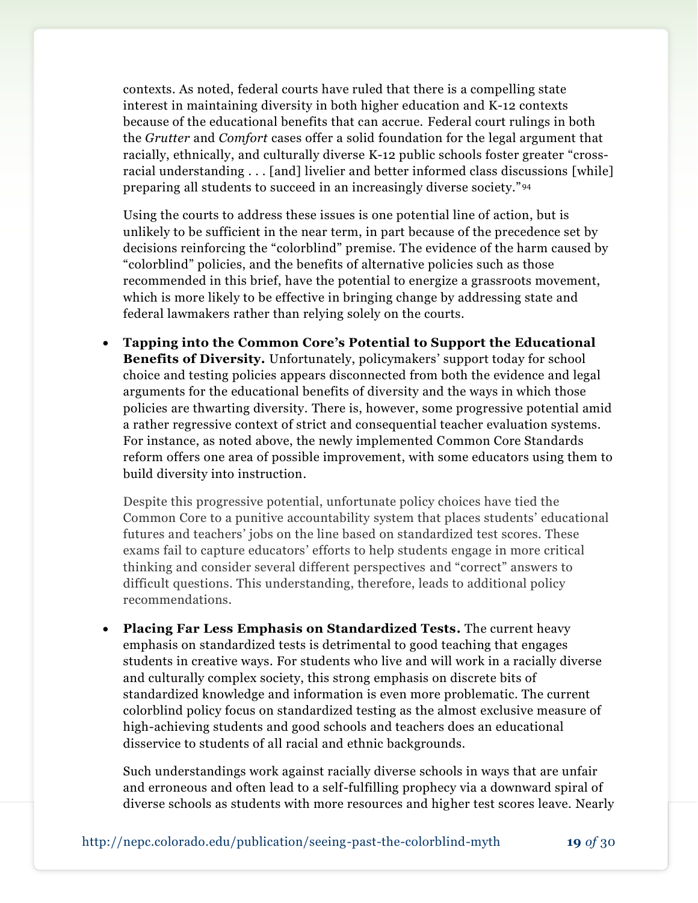contexts. As noted, federal courts have ruled that there is a compelling state interest in maintaining diversity in both higher education and K-12 contexts because of the educational benefits that can accrue. Federal court rulings in both the *Grutter* and *Comfort* cases offer a solid foundation for the legal argument that racially, ethnically, and culturally diverse K-12 public schools foster greater "crossracial understanding . . . [and] livelier and better informed class discussions [while] preparing all students to succeed in an increasingly diverse society." <sup>94</sup>

Using the courts to address these issues is one potential line of action, but is unlikely to be sufficient in the near term, in part because of the precedence set by decisions reinforcing the "colorblind" premise. The evidence of the harm caused by "colorblind" policies, and the benefits of alternative policies such as those recommended in this brief, have the potential to energize a grassroots movement, which is more likely to be effective in bringing change by addressing state and federal lawmakers rather than relying solely on the courts.

 **Tapping into the Common Core's Potential to Support the Educational Benefits of Diversity.** Unfortunately, policymakers' support today for school choice and testing policies appears disconnected from both the evidence and legal arguments for the educational benefits of diversity and the ways in which those policies are thwarting diversity. There is, however, some progressive potential amid a rather regressive context of strict and consequential teacher evaluation systems. For instance, as noted above, the newly implemented Common Core Standards reform offers one area of possible improvement, with some educators using them to build diversity into instruction.

Despite this progressive potential, unfortunate policy choices have tied the Common Core to a punitive accountability system that places students' educational futures and teachers' jobs on the line based on standardized test scores. These exams fail to capture educators' efforts to help students engage in more critical thinking and consider several different perspectives and "correct" answers to difficult questions. This understanding, therefore, leads to additional policy recommendations.

 **Placing Far Less Emphasis on Standardized Tests.** The current heavy emphasis on standardized tests is detrimental to good teaching that engages students in creative ways. For students who live and will work in a racially diverse and culturally complex society, this strong emphasis on discrete bits of standardized knowledge and information is even more problematic. The current colorblind policy focus on standardized testing as the almost exclusive measure of high-achieving students and good schools and teachers does an educational disservice to students of all racial and ethnic backgrounds.

Such understandings work against racially diverse schools in ways that are unfair and erroneous and often lead to a self-fulfilling prophecy via a downward spiral of diverse schools as students with more resources and higher test scores leave. Nearly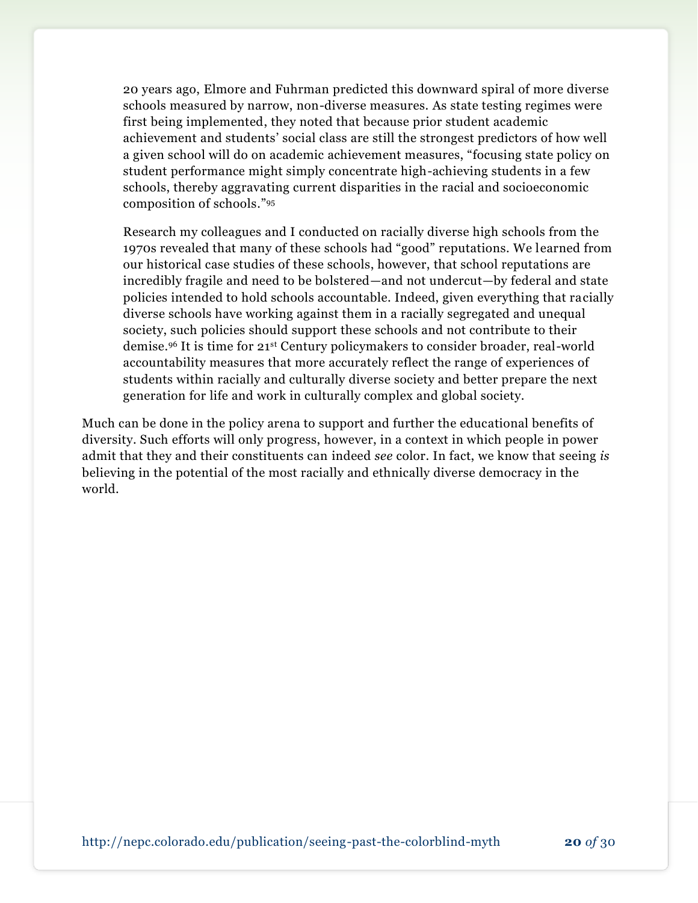20 years ago, Elmore and Fuhrman predicted this downward spiral of more diverse schools measured by narrow, non-diverse measures. As state testing regimes were first being implemented, they noted that because prior student academic achievement and students' social class are still the strongest predictors of how well a given school will do on academic achievement measures, "focusing state policy on student performance might simply concentrate high-achieving students in a few schools, thereby aggravating current disparities in the racial and socioeconomic composition of schools." 95

Research my colleagues and I conducted on racially diverse high schools from the 1970s revealed that many of these schools had "good" reputations. We learned from our historical case studies of these schools, however, that school reputations are incredibly fragile and need to be bolstered—and not undercut—by federal and state policies intended to hold schools accountable. Indeed, given everything that racially diverse schools have working against them in a racially segregated and unequal society, such policies should support these schools and not contribute to their demise.<sup>96</sup> It is time for 21st Century policymakers to consider broader, real-world accountability measures that more accurately reflect the range of experiences of students within racially and culturally diverse society and better prepare the next generation for life and work in culturally complex and global society.

Much can be done in the policy arena to support and further the educational benefits of diversity. Such efforts will only progress, however, in a context in which people in power admit that they and their constituents can indeed *see* color. In fact, we know that seeing *is*  believing in the potential of the most racially and ethnically diverse democracy in the world.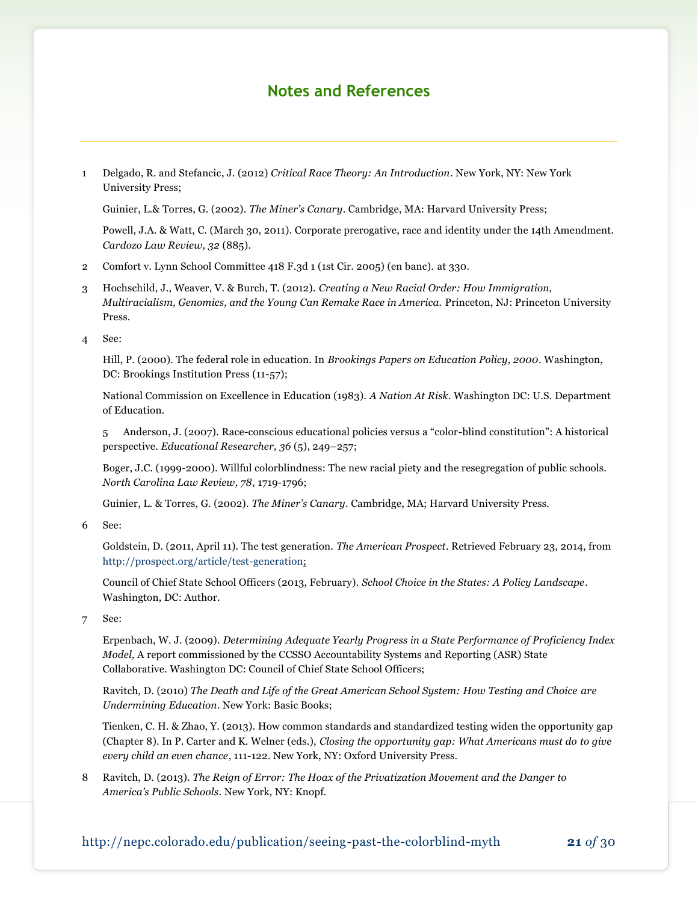## **Notes and References**

1 Delgado, R. and Stefancic, J. (2012) *Critical Race Theory: An Introduction*. New York, NY: New York University Press;

Guinier, L.& Torres, G. (2002). *The Miner's Canary*. Cambridge, MA: Harvard University Press;

Powell, J.A. & Watt, C. (March 30, 2011). Corporate prerogative, race and identity under the 14th Amendment. *Cardozo Law Review, 32* (885).

- 2 Comfort v. Lynn School Committee 418 F.3d 1 (1st Cir. 2005) (en banc). at 330.
- 3 Hochschild, J., Weaver, V. & Burch, T. (2012). *Creating a New Racial Order: How Immigration, Multiracialism, Genomics, and the Young Can Remake Race in America.* Princeton, NJ: Princeton University Press.
- 4 See:

Hill, P. (2000). The federal role in education. In *Brookings Papers on Education Policy, 2000*. Washington, DC: Brookings Institution Press (11-57);

National Commission on Excellence in Education (1983). *A Nation At Risk*. Washington DC: U.S. Department of Education.

5 Anderson, J. (2007). Race-conscious educational policies versus a "color-blind constitution": A historical perspective. *Educational Researcher, 36* (5), 249–257;

Boger, J.C. (1999-2000). Willful colorblindness: The new racial piety and the resegregation of public schools. *North Carolina Law Review, 78*, 1719-1796;

Guinier, L. & Torres, G. (2002). *The Miner's Canary*. Cambridge, MA; Harvard University Press.

6 See:

Goldstein, D. (2011, April 11). The test generation. *The American Prospect*. Retrieved February 23, 2014, from [http://prospect.org/article/test-generation;](http://prospect.org/article/test-generation)

Council of Chief State School Officers (2013, February). *School Choice in the States: A Policy Landscape*. Washington, DC: Author.

7 See:

Erpenbach, W. J. (2009). *Determining Adequate Yearly Progress in a State Performance of Proficiency Index Model*, A report commissioned by the CCSSO Accountability Systems and Reporting (ASR) State Collaborative. Washington DC: Council of Chief State School Officers;

Ravitch, D. (2010) *The Death and Life of the Great American School System: How Testing and Choice are Undermining Education*. New York: Basic Books;

Tienken, C. H. & Zhao, Y. (2013). How common standards and standardized testing widen the opportunity gap (Chapter 8). In P. Carter and K. Welner (eds.), *Closing the opportunity gap: What Americans must do to give every child an even chance*, 111-122. New York, NY: Oxford University Press.

8 Ravitch, D. (2013). *The Reign of Error: The Hoax of the Privatization Movement and the Danger to America's Public Schools*. New York, NY: Knopf.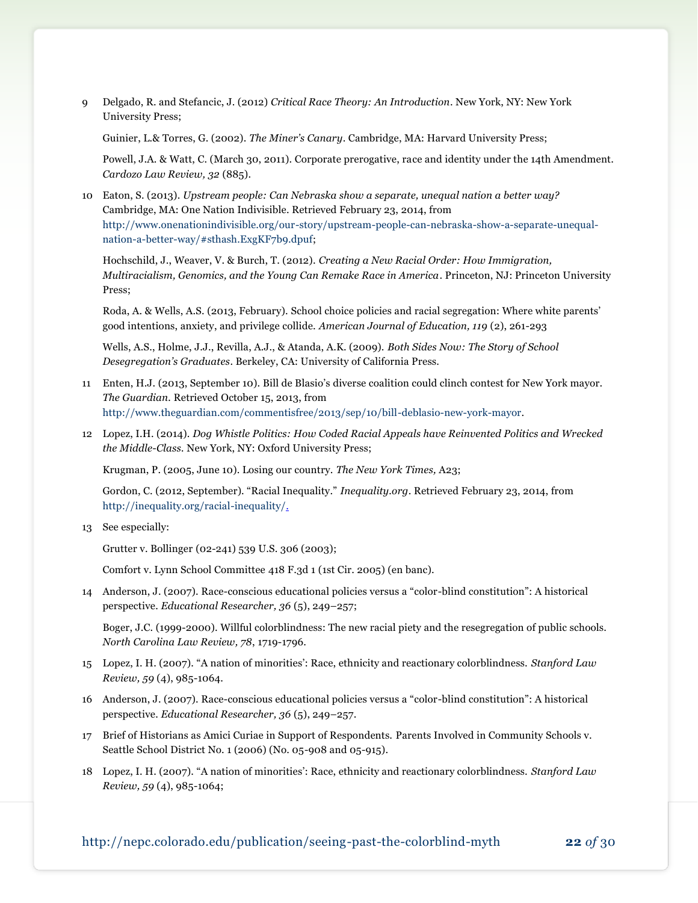9 Delgado, R. and Stefancic, J. (2012) *Critical Race Theory: An Introduction*. New York, NY: New York University Press;

Guinier, L.& Torres, G. (2002). *The Miner's Canary*. Cambridge, MA: Harvard University Press;

Powell, J.A. & Watt, C. (March 30, 2011). Corporate prerogative, race and identity under the 14th Amendment. *Cardozo Law Review, 32* (885).

10 Eaton, S. (2013). *Upstream people: Can Nebraska show a separate, unequal nation a better way?* Cambridge, MA: One Nation Indivisible. Retrieved February 23, 2014, from [http://www.onenationindivisible.org/our-story/upstream-people-can-nebraska-show-a-separate-unequal](http://www.onenationindivisible.org/our-story/upstream-people-can-nebraska-show-a-separate-unequal-nation-a-better-way/#sthash.ExgKF7b9.dpuf)[nation-a-better-way/#sthash.ExgKF7b9.dpuf;](http://www.onenationindivisible.org/our-story/upstream-people-can-nebraska-show-a-separate-unequal-nation-a-better-way/#sthash.ExgKF7b9.dpuf)

Hochschild, J., Weaver, V. & Burch, T. (2012). *Creating a New Racial Order: How Immigration, Multiracialism, Genomics, and the Young Can Remake Race in America*. Princeton, NJ: Princeton University Press;

Roda, A. & Wells, A.S. (2013, February). School choice policies and racial segregation: Where white parents' good intentions, anxiety, and privilege collide. *American Journal of Education, 119* (2), 261-293

Wells, A.S., Holme, J.J., Revilla, A.J., & Atanda, A.K. (2009). *Both Sides Now: The Story of School Desegregation's Graduates*. Berkeley, CA: University of California Press.

- 11 Enten, H.J. (2013, September 10). Bill de Blasio's diverse coalition could clinch contest for New York mayor. *The Guardian.* Retrieved October 15, 2013, from [http://www.theguardian.com/commentisfree/2013/sep/10/bill-deblasio-new-york-mayor.](http://www.theguardian.com/commentisfree/2013/sep/10/bill-deblasio-new-york-mayor)
- 12 Lopez, I.H. (2014). *Dog Whistle Politics: How Coded Racial Appeals have Reinvented Politics and Wrecked the Middle-Class.* New York, NY: Oxford University Press;

Krugman, P. (2005, June 10). Losing our country. *The New York Times,* A23;

Gordon, C. (2012, September). "Racial Inequality." *Inequality.org*. Retrieved February 23, 2014, from [http://inequality.org/racial-inequality/.](http://inequality.org/racial-inequality/)

13 See especially:

Grutter v. Bollinger (02-241) 539 U.S. 306 (2003);

Comfort v. Lynn School Committee 418 F.3d 1 (1st Cir. 2005) (en banc).

14 Anderson, J. (2007). Race-conscious educational policies versus a "color-blind constitution": A historical perspective. *Educational Researcher, 36* (5), 249–257;

Boger, J.C. (1999-2000). Willful colorblindness: The new racial piety and the resegregation of public schools. *North Carolina Law Review, 78*, 1719-1796.

- 15 Lopez, I. H. (2007). "A nation of minorities': Race, ethnicity and reactionary colorblindness. *Stanford Law Review, 59* (4), 985-1064.
- 16 Anderson, J. (2007). Race-conscious educational policies versus a "color-blind constitution": A historical perspective. *Educational Researcher, 36* (5), 249–257.
- 17 Brief of Historians as Amici Curiae in Support of Respondents. Parents Involved in Community Schools v. Seattle School District No. 1 (2006) (No. 05-908 and 05-915).
- 18 Lopez, I. H. (2007). "A nation of minorities': Race, ethnicity and reactionary colorblindness. *Stanford Law Review, 59* (4), 985-1064;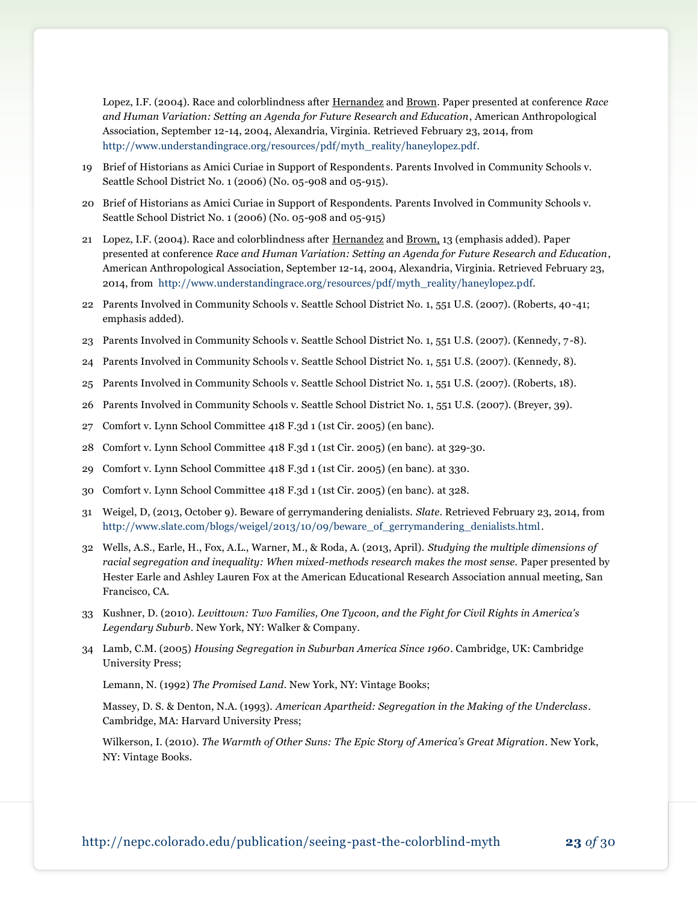Lopez, I.F. (2004). Race and colorblindness after Hernandez and Brown. Paper presented at conference *Race and Human Variation: Setting an Agenda for Future Research and Education*, American Anthropological Association, September 12-14, 2004, Alexandria, Virginia. Retrieved February 23, 2014, from [http://www.understandingrace.org/resources/pdf/myth\\_reality/haneylopez.pdf.](http://www.understandingrace.org/resources/pdf/myth_reality/haneylopez.pdf)

- 19 Brief of Historians as Amici Curiae in Support of Respondents. Parents Involved in Community Schools v. Seattle School District No. 1 (2006) (No. 05-908 and 05-915).
- 20 Brief of Historians as Amici Curiae in Support of Respondents. Parents Involved in Community Schools v. Seattle School District No. 1 (2006) (No. 05-908 and 05-915)
- 21 Lopez, I.F. (2004). Race and colorblindness after Hernandez and Brown, 13 (emphasis added). Paper presented at conference *Race and Human Variation: Setting an Agenda for Future Research and Education*, American Anthropological Association, September 12-14, 2004, Alexandria, Virginia. Retrieved February 23, 2014, from [http://www.understandingrace.org/resources/pdf/myth\\_reality/haneylopez.pdf.](http://www.understandingrace.org/resources/pdf/myth_reality/haneylopez.pdf)
- 22 Parents Involved in Community Schools v. Seattle School District No. 1, 551 U.S. (2007). (Roberts, 40-41; emphasis added).
- 23 Parents Involved in Community Schools v. Seattle School District No. 1, 551 U.S. (2007). (Kennedy, 7-8).
- 24 Parents Involved in Community Schools v. Seattle School District No. 1, 551 U.S. (2007). (Kennedy, 8).
- 25 Parents Involved in Community Schools v. Seattle School District No. 1, 551 U.S. (2007). (Roberts, 18).
- 26 Parents Involved in Community Schools v. Seattle School District No. 1, 551 U.S. (2007). (Breyer, 39).
- 27 Comfort v. Lynn School Committee 418 F.3d 1 (1st Cir. 2005) (en banc).
- 28 Comfort v. Lynn School Committee 418 F.3d 1 (1st Cir. 2005) (en banc). at 329-30.
- 29 Comfort v. Lynn School Committee 418 F.3d 1 (1st Cir. 2005) (en banc). at 330.
- 30 Comfort v. Lynn School Committee 418 F.3d 1 (1st Cir. 2005) (en banc). at 328.
- 31 Weigel, D, (2013, October 9). Beware of gerrymandering denialists. *Slate*. Retrieved February 23, 2014, from [http://www.slate.com/blogs/weigel/2013/10/09/beware\\_of\\_gerrymandering\\_denialists.html.](http://www.slate.com/blogs/weigel/2013/10/09/beware_of_gerrymandering_denialists.html)
- 32 Wells, A.S., Earle, H., Fox, A.L., Warner, M., & Roda, A. (2013, April). *Studying the multiple dimensions of racial segregation and inequality: When mixed-methods research makes the most sense.* Paper presented by Hester Earle and Ashley Lauren Fox at the American Educational Research Association annual meeting, San Francisco, CA.
- 33 Kushner, D. (2010). *Levittown: Two Families, One Tycoon, and the Fight for Civil Rights in America's Legendary Suburb*. New York, NY: Walker & Company.
- 34 Lamb, C.M. (2005) *Housing Segregation in Suburban America Since 1960*. Cambridge, UK: Cambridge University Press;

Lemann, N. (1992) *The Promised Land*. New York, NY: Vintage Books;

Massey, D. S. & Denton, N.A. (1993). *American Apartheid: Segregation in the Making of the Underclass*. Cambridge, MA: Harvard University Press;

Wilkerson, I. (2010). *The Warmth of Other Suns: The Epic Story of America's Great Migration*. New York, NY: Vintage Books.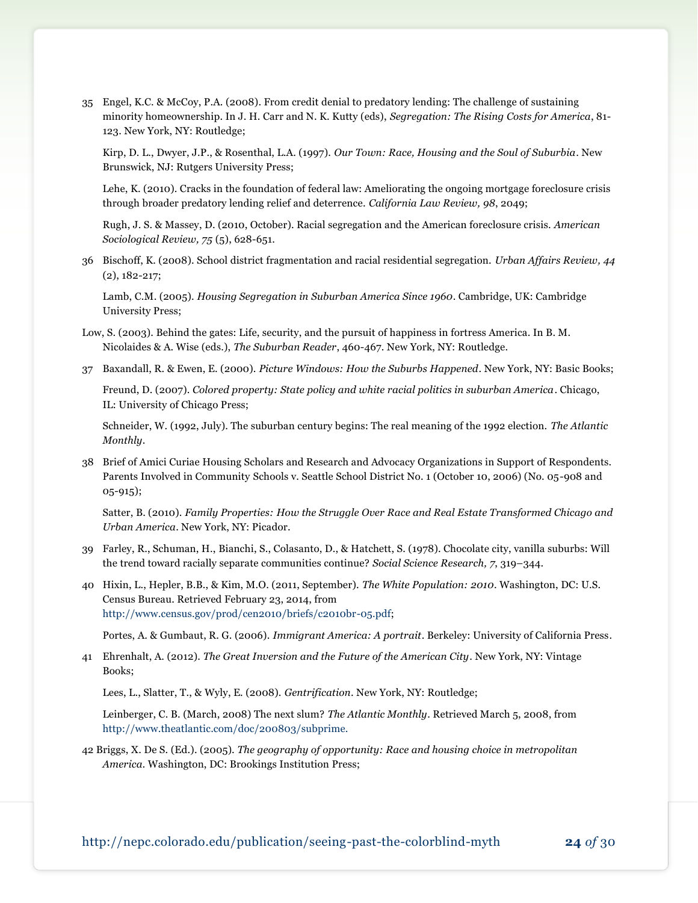35 Engel, K.C. & McCoy, P.A. (2008). From credit denial to predatory lending: The challenge of sustaining minority homeownership. In J. H. Carr and N. K. Kutty (eds), *Segregation: The Rising Costs for America*, 81- 123. New York, NY: Routledge;

Kirp, D. L., Dwyer, J.P., & Rosenthal, L.A. (1997). *Our Town: Race, Housing and the Soul of Suburbia*. New Brunswick, NJ: Rutgers University Press;

Lehe, K. (2010). Cracks in the foundation of federal law: Ameliorating the ongoing mortgage foreclosure crisis through broader predatory lending relief and deterrence. *California Law Review, 98*, 2049;

Rugh, J. S. & Massey, D. (2010, October). Racial segregation and the American foreclosure crisis. *American Sociological Review, 75* (5), 628-651.

36 Bischoff, K. (2008). School district fragmentation and racial residential segregation. *Urban Affairs Review, 44* (2), 182-217;

Lamb, C.M. (2005). *Housing Segregation in Suburban America Since 1960*. Cambridge, UK: Cambridge University Press;

- Low, S. (2003). Behind the gates: Life, security, and the pursuit of happiness in fortress America. In B. M. Nicolaides & A. Wise (eds.), *The Suburban Reader*, 460-467. New York, NY: Routledge.
- 37 Baxandall, R. & Ewen, E. (2000). *Picture Windows: How the Suburbs Happened*. New York, NY: Basic Books;

Freund, D. (2007). *Colored property: State policy and white racial politics in suburban America*. Chicago, IL: University of Chicago Press;

Schneider, W. (1992, July). The suburban century begins: The real meaning of the 1992 election. *The Atlantic Monthly*.

38 Brief of Amici Curiae Housing Scholars and Research and Advocacy Organizations in Support of Respondents. Parents Involved in Community Schools v. Seattle School District No. 1 (October 10, 2006) (No. 05-908 and 05-915);

Satter, B. (2010). *Family Properties: How the Struggle Over Race and Real Estate Transformed Chicago and Urban America*. New York, NY: Picador.

- 39 Farley, R., Schuman, H., Bianchi, S., Colasanto, D., & Hatchett, S. (1978). Chocolate city, vanilla suburbs: Will the trend toward racially separate communities continue? *Social Science Research, 7*, 319–344.
- 40 Hixin, L., Hepler, B.B., & Kim, M.O. (2011, September). *The White Population: 2010*. Washington, DC: U.S. Census Bureau. Retrieved February 23, 2014, from [http://www.census.gov/prod/cen2010/briefs/c2010br-05.pdf;](http://www.census.gov/prod/cen2010/briefs/c2010br-05.pdf)

Portes, A. & Gumbaut, R. G. (2006). *Immigrant America: A portrait*. Berkeley: University of California Press.

41 Ehrenhalt, A. (2012). *The Great Inversion and the Future of the American City*. New York, NY: Vintage Books;

Lees, L., Slatter, T., & Wyly, E. (2008). *Gentrification*. New York, NY: Routledge;

Leinberger, C. B. (March, 2008) The next slum? *The Atlantic Monthly*. Retrieved March 5, 2008, from [http://www.theatlantic.com/doc/200803/subprime.](http://www.theatlantic.com/doc/200803/subprime.%20Retrieved%203/05/08) 

42 Briggs, X. De S. (Ed.). (2005). *The geography of opportunity: Race and housing choice in metropolitan America.* Washington, DC: Brookings Institution Press;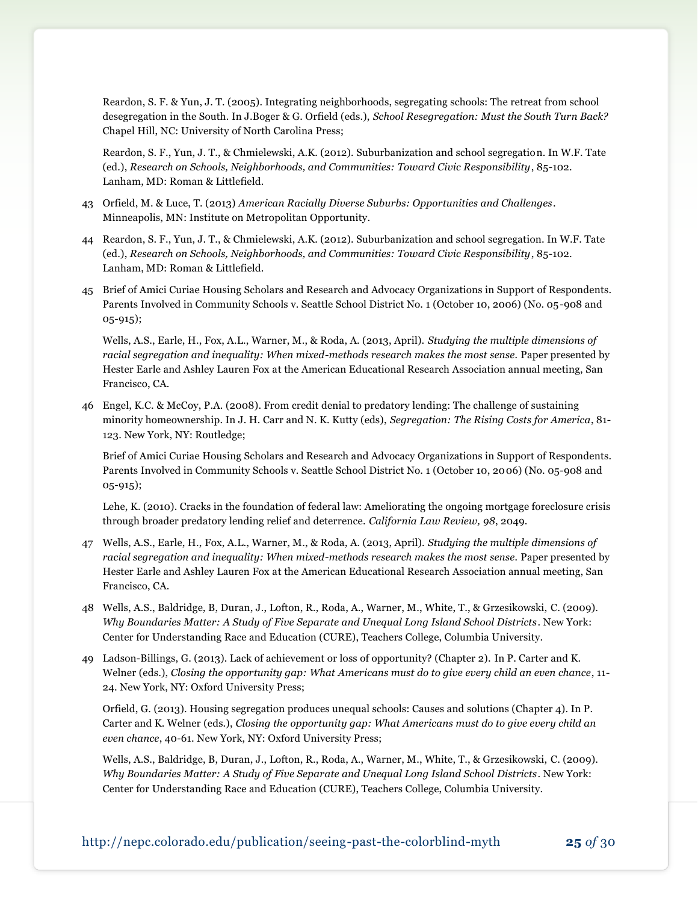Reardon, S. F. & Yun, J. T. (2005). Integrating neighborhoods, segregating schools: The retreat from school desegregation in the South. In J.Boger & G. Orfield (eds.), *School Resegregation: Must the South Turn Back?* Chapel Hill, NC: University of North Carolina Press;

Reardon, S. F., Yun, J. T., & Chmielewski, A.K. (2012). Suburbanization and school segregation. In W.F. Tate (ed.), *Research on Schools, Neighborhoods, and Communities: Toward Civic Responsibility*, 85-102. Lanham, MD: Roman & Littlefield.

- 43 Orfield, M. & Luce, T. (2013) *American Racially Diverse Suburbs: Opportunities and Challenges*. Minneapolis, MN: Institute on Metropolitan Opportunity.
- 44 Reardon, S. F., Yun, J. T., & Chmielewski, A.K. (2012). Suburbanization and school segregation. In W.F. Tate (ed.), *Research on Schools, Neighborhoods, and Communities: Toward Civic Responsibility*, 85-102. Lanham, MD: Roman & Littlefield.
- 45 Brief of Amici Curiae Housing Scholars and Research and Advocacy Organizations in Support of Respondents. Parents Involved in Community Schools v. Seattle School District No. 1 (October 10, 2006) (No. 05-908 and 05-915);

Wells, A.S., Earle, H., Fox, A.L., Warner, M., & Roda, A. (2013, April). *Studying the multiple dimensions of racial segregation and inequality: When mixed-methods research makes the most sense.* Paper presented by Hester Earle and Ashley Lauren Fox at the American Educational Research Association annual meeting, San Francisco, CA.

46 Engel, K.C. & McCoy, P.A. (2008). From credit denial to predatory lending: The challenge of sustaining minority homeownership. In J. H. Carr and N. K. Kutty (eds), *Segregation: The Rising Costs for America*, 81- 123. New York, NY: Routledge;

Brief of Amici Curiae Housing Scholars and Research and Advocacy Organizations in Support of Respondents. Parents Involved in Community Schools v. Seattle School District No. 1 (October 10, 2006) (No. 05-908 and 05-915);

Lehe, K. (2010). Cracks in the foundation of federal law: Ameliorating the ongoing mortgage foreclosure crisis through broader predatory lending relief and deterrence. *California Law Review, 98*, 2049.

- 47 Wells, A.S., Earle, H., Fox, A.L., Warner, M., & Roda, A. (2013, April). *Studying the multiple dimensions of racial segregation and inequality: When mixed-methods research makes the most sense.* Paper presented by Hester Earle and Ashley Lauren Fox at the American Educational Research Association annual meeting, San Francisco, CA.
- 48 Wells, A.S., Baldridge, B, Duran, J., Lofton, R., Roda, A., Warner, M., White, T., & Grzesikowski, C. (2009). *Why Boundaries Matter: A Study of Five Separate and Unequal Long Island School Districts*. New York: Center for Understanding Race and Education (CURE), Teachers College, Columbia University.
- 49 Ladson-Billings, G. (2013). Lack of achievement or loss of opportunity? (Chapter 2). In P. Carter and K. Welner (eds.), *Closing the opportunity gap: What Americans must do to give every child an even chance*, 11- 24. New York, NY: Oxford University Press;

Orfield, G. (2013). Housing segregation produces unequal schools: Causes and solutions (Chapter 4). In P. Carter and K. Welner (eds.), *Closing the opportunity gap: What Americans must do to give every child an even chance*, 40-61. New York, NY: Oxford University Press;

Wells, A.S., Baldridge, B, Duran, J., Lofton, R., Roda, A., Warner, M., White, T., & Grzesikowski, C. (2009). *Why Boundaries Matter: A Study of Five Separate and Unequal Long Island School Districts*. New York: Center for Understanding Race and Education (CURE), Teachers College, Columbia University.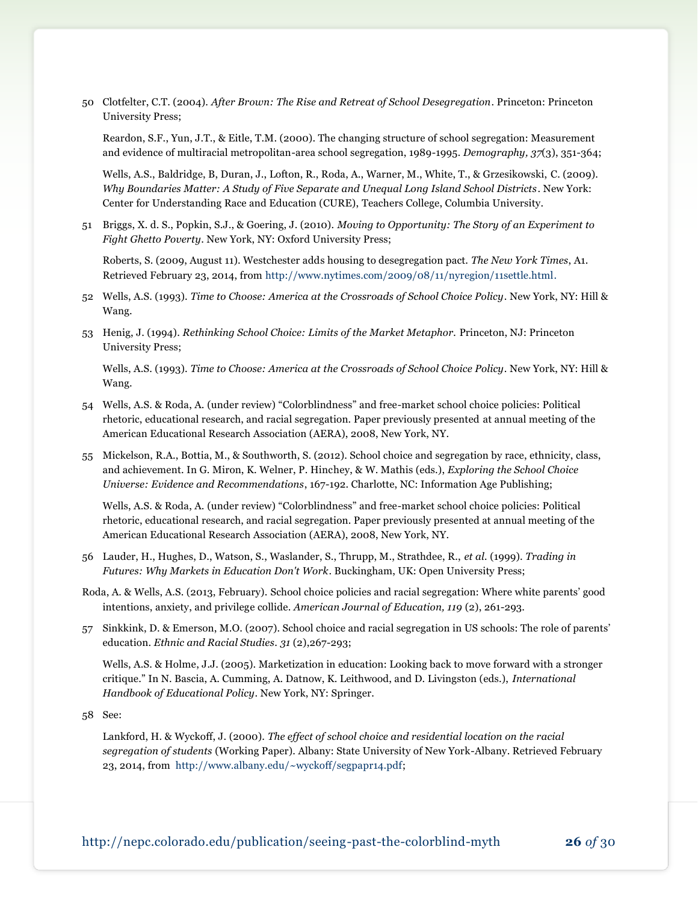50 Clotfelter, C.T. (2004). *After Brown: The Rise and Retreat of School Desegregation*. Princeton: Princeton University Press;

Reardon, S.F., Yun, J.T., & Eitle, T.M. (2000). The changing structure of school segregation: Measurement and evidence of multiracial metropolitan-area school segregation, 1989-1995*. Demography, 37*(3), 351-364;

Wells, A.S., Baldridge, B, Duran, J., Lofton, R., Roda, A., Warner, M., White, T., & Grzesikowski, C. (2009). *Why Boundaries Matter: A Study of Five Separate and Unequal Long Island School Districts*. New York: Center for Understanding Race and Education (CURE), Teachers College, Columbia University.

51 Briggs, X. d. S., Popkin, S.J., & Goering, J. (2010). *Moving to Opportunity: The Story of an Experiment to Fight Ghetto Poverty*. New York, NY: Oxford University Press;

Roberts, S. (2009, August 11). Westchester adds housing to desegregation pact. *The New York Times*, A1. Retrieved February 23, 2014, fro[m http://www.nytimes.com/2009/08/11/nyregion/11settle.html.](http://www.nytimes.com/2009/08/11/nyregion/11settle.html)

- 52 Wells, A.S. (1993). *Time to Choose: America at the Crossroads of School Choice Policy*. New York, NY: Hill & Wang.
- 53 Henig, J. (1994). *Rethinking School Choice: Limits of the Market Metaphor.* Princeton, NJ: Princeton University Press;

Wells, A.S. (1993). *Time to Choose: America at the Crossroads of School Choice Policy*. New York, NY: Hill & Wang.

- 54 Wells, A.S. & Roda, A. (under review) "Colorblindness" and free-market school choice policies: Political rhetoric, educational research, and racial segregation. Paper previously presented at annual meeting of the American Educational Research Association (AERA), 2008, New York, NY.
- 55 Mickelson, R.A., Bottia, M., & Southworth, S. (2012). School choice and segregation by race, ethnicity, class, and achievement. In G. Miron, K. Welner, P. Hinchey, & W. Mathis (eds.), *Exploring the School Choice Universe: Evidence and Recommendations*, 167-192. Charlotte, NC: Information Age Publishing;

Wells, A.S. & Roda, A. (under review) "Colorblindness" and free-market school choice policies: Political rhetoric, educational research, and racial segregation. Paper previously presented at annual meeting of the American Educational Research Association (AERA), 2008, New York, NY.

- 56 Lauder, H., Hughes, D., Watson, S., Waslander, S., Thrupp, M., Strathdee, R., *et al.* (1999). *Trading in Futures: Why Markets in Education Don't Work*. Buckingham, UK: Open University Press;
- Roda, A. & Wells, A.S. (2013, February). School choice policies and racial segregation: Where white parents' good intentions, anxiety, and privilege collide. *American Journal of Education, 119* (2), 261-293.
- 57 Sinkkink, D. & Emerson, M.O. (2007). School choice and racial segregation in US schools: The role of parents' education. *Ethnic and Racial Studies*. *31* (2),267-293;

Wells, A.S. & Holme, J.J. (2005). Marketization in education: Looking back to move forward with a stronger critique." In N. Bascia, A. Cumming, A. Datnow, K. Leithwood, and D. Livingston (eds.), *International Handbook of Educational Policy*. New York, NY: Springer.

58 See:

Lankford, H. & Wyckoff, J. (2000). *The effect of school choice and residential location on the racial segregation of students* (Working Paper). Albany: State University of New York-Albany. Retrieved February 23, 2014, from [http://www.albany.edu/~wyckoff/segpapr14.pdf;](http://www.albany.edu/~wyckoff/segpapr14.pdf)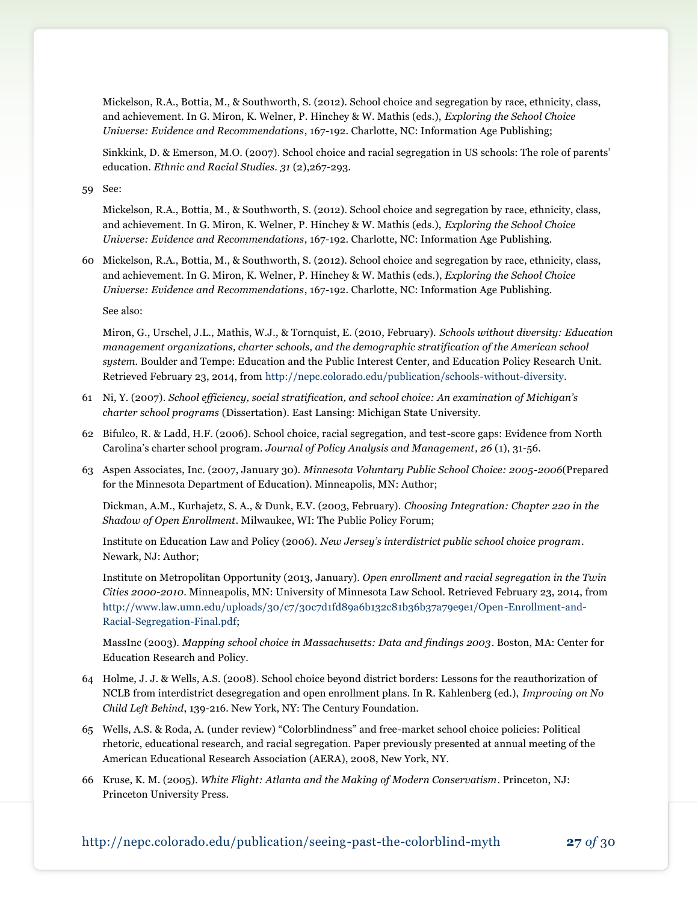Mickelson, R.A., Bottia, M., & Southworth, S. (2012). School choice and segregation by race, ethnicity, class, and achievement. In G. Miron, K. Welner, P. Hinchey & W. Mathis (eds.), *Exploring the School Choice Universe: Evidence and Recommendations*, 167-192. Charlotte, NC: Information Age Publishing;

Sinkkink, D. & Emerson, M.O. (2007). School choice and racial segregation in US schools: The role of parents' education. *Ethnic and Racial Studies*. *31* (2),267-293.

59 See:

Mickelson, R.A., Bottia, M., & Southworth, S. (2012). School choice and segregation by race, ethnicity, class, and achievement. In G. Miron, K. Welner, P. Hinchey & W. Mathis (eds.), *Exploring the School Choice Universe: Evidence and Recommendations*, 167-192. Charlotte, NC: Information Age Publishing.

60 Mickelson, R.A., Bottia, M., & Southworth, S. (2012). School choice and segregation by race, ethnicity, class, and achievement. In G. Miron, K. Welner, P. Hinchey & W. Mathis (eds.), *Exploring the School Choice Universe: Evidence and Recommendations*, 167-192. Charlotte, NC: Information Age Publishing.

See also:

Miron, G., Urschel, J.L., Mathis, W.J., & Tornquist, E. (2010, February). *Schools without diversity: Education management organizations, charter schools, and the demographic stratification of the American school system.* Boulder and Tempe: Education and the Public Interest Center, and Education Policy Research Unit. Retrieved February 23, 2014, fro[m http://nepc.colorado.edu/publication/schools-without-diversity.](http://nepc.colorado.edu/publication/schools-without-diversity)

- 61 Ni, Y. (2007). *School efficiency, social stratification, and school choice: An examination of Michigan's charter school programs* (Dissertation). East Lansing: Michigan State University.
- 62 Bifulco, R. & Ladd, H.F. (2006). School choice, racial segregation, and test-score gaps: Evidence from North Carolina's charter school program. *Journal of Policy Analysis and Management, 26* (1), 31-56.
- 63 Aspen Associates, Inc. (2007, January 30). *Minnesota Voluntary Public School Choice: 2005-2006*(Prepared for the Minnesota Department of Education). Minneapolis, MN: Author;

Dickman, A.M., Kurhajetz, S. A., & Dunk, E.V. (2003, February). *Choosing Integration: Chapter 220 in the Shadow of Open Enrollment*. Milwaukee, WI: The Public Policy Forum;

Institute on Education Law and Policy (2006). *New Jersey's interdistrict public school choice program*. Newark, NJ: Author;

Institute on Metropolitan Opportunity (2013, January). *Open enrollment and racial segregation in the Twin Cities 2000-2010*. Minneapolis, MN: University of Minnesota Law School. Retrieved February 23, 2014, from [http://www.law.umn.edu/uploads/30/c7/30c7d1fd89a6b132c81b36b37a79e9e1/Open-Enrollment-and-](http://www.law.umn.edu/uploads/30/c7/30c7d1fd89a6b132c81b36b37a79e9e1/Open-Enrollment-and-Racial-Segregation-Final.pdf)[Racial-Segregation-Final.pdf;](http://www.law.umn.edu/uploads/30/c7/30c7d1fd89a6b132c81b36b37a79e9e1/Open-Enrollment-and-Racial-Segregation-Final.pdf)

MassInc (2003). *Mapping school choice in Massachusetts: Data and findings 2003*. Boston, MA: Center for Education Research and Policy.

- 64 Holme, J. J. & Wells, A.S. (2008). School choice beyond district borders: Lessons for the reauthorization of NCLB from interdistrict desegregation and open enrollment plans. In R. Kahlenberg (ed.), *Improving on No Child Left Behind*, 139-216. New York, NY: The Century Foundation.
- 65 Wells, A.S. & Roda, A. (under review) "Colorblindness" and free-market school choice policies: Political rhetoric, educational research, and racial segregation. Paper previously presented at annual meeting of the American Educational Research Association (AERA), 2008, New York, NY.
- 66 Kruse, K. M. (2005). *White Flight: Atlanta and the Making of Modern Conservatism*. Princeton, NJ: Princeton University Press.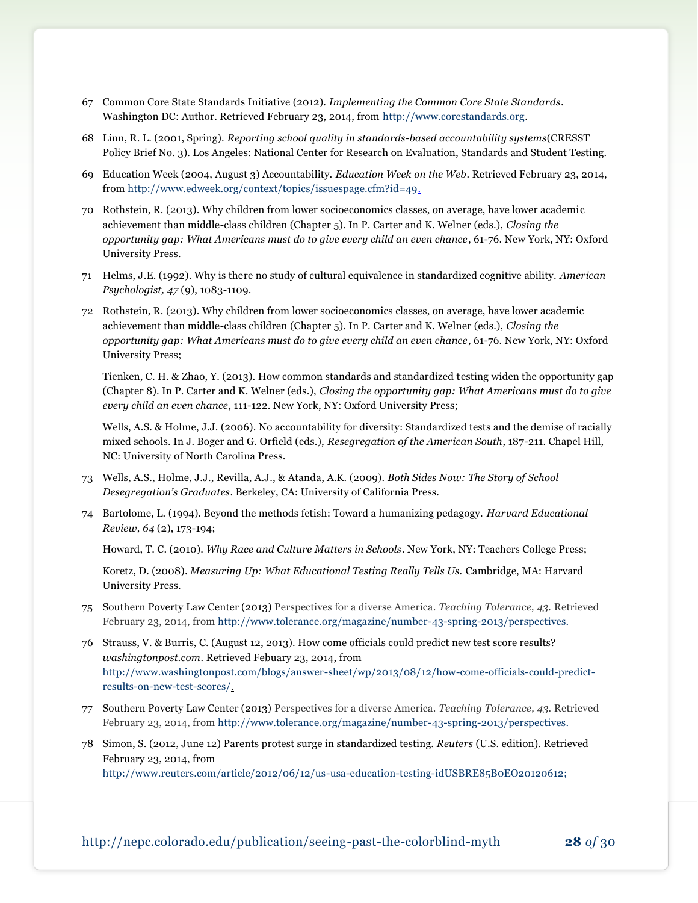- 67 Common Core State Standards Initiative (2012). *Implementing the Common Core State Standards*. Washington DC: Author. Retrieved February 23, 2014, fro[m http://www.corestandards.org.](http://www.corestandards.org/)
- 68 Linn, R. L. (2001, Spring). *Reporting school quality in standards-based accountability systems*(CRESST Policy Brief No. 3). Los Angeles: National Center for Research on Evaluation, Standards and Student Testing.
- 69 Education Week (2004, August 3) Accountability. *Education Week on the Web*. Retrieved February 23, 2014, from [http://www.edweek.org/context/topics/issuespage.cfm?id=49.](http://www.edweek.org/context/topics/issuespage.cfm?id=49)
- 70 Rothstein, R. (2013). Why children from lower socioeconomics classes, on average, have lower academic achievement than middle-class children (Chapter 5). In P. Carter and K. Welner (eds.), *Closing the opportunity gap: What Americans must do to give every child an even chance*, 61-76. New York, NY: Oxford University Press.
- 71 Helms, J.E. (1992). Why is there no study of cultural equivalence in standardized cognitive ability. *American Psychologist, 47* (9), 1083-1109.
- 72 Rothstein, R. (2013). Why children from lower socioeconomics classes, on average, have lower academic achievement than middle-class children (Chapter 5). In P. Carter and K. Welner (eds.), *Closing the opportunity gap: What Americans must do to give every child an even chance*, 61-76. New York, NY: Oxford University Press;

Tienken, C. H. & Zhao, Y. (2013). How common standards and standardized testing widen the opportunity gap (Chapter 8). In P. Carter and K. Welner (eds.), *Closing the opportunity gap: What Americans must do to give every child an even chance*, 111-122. New York, NY: Oxford University Press;

Wells, A.S. & Holme, J.J. (2006). No accountability for diversity: Standardized tests and the demise of racially mixed schools. In J. Boger and G. Orfield (eds.), *Resegregation of the American South*, 187-211. Chapel Hill, NC: University of North Carolina Press.

- 73 Wells, A.S., Holme, J.J., Revilla, A.J., & Atanda, A.K. (2009). *Both Sides Now: The Story of School Desegregation's Graduates*. Berkeley, CA: University of California Press.
- 74 Bartolome, L. (1994). Beyond the methods fetish: Toward a humanizing pedagogy. *Harvard Educational Review, 64* (2), 173-194;

Howard, T. C. (2010). *Why Race and Culture Matters in Schools*. New York, NY: Teachers College Press;

Koretz, D. (2008). *Measuring Up: What Educational Testing Really Tells Us.* Cambridge, MA: Harvard University Press.

- 75 Southern Poverty Law Center (2013) Perspectives for a diverse America. *Teaching Tolerance, 43.* Retrieved February 23, 2014, from [http://www.tolerance.org/magazine/number-43-spring-2013/perspectives.](http://www.tolerance.org/magazine/number-43-spring-2013/perspectives)
- 76 Strauss, V. & Burris, C. (August 12, 2013). How come officials could predict new test score results? *washingtonpost.com*. Retrieved Febuary 23, 2014, from [http://www.washingtonpost.com/blogs/answer-sheet/wp/2013/08/12/how-come-officials-could-predict](http://www.washingtonpost.com/blogs/answer-sheet/wp/2013/08/12/how-come-officials-could-predict-results-on-new-test-scores/)[results-on-new-test-scores/.](http://www.washingtonpost.com/blogs/answer-sheet/wp/2013/08/12/how-come-officials-could-predict-results-on-new-test-scores/)
- 77 Southern Poverty Law Center (2013) Perspectives for a diverse America. *Teaching Tolerance, 43.* Retrieved February 23, 2014, from [http://www.tolerance.org/magazine/number-43-spring-2013/perspectives.](http://www.tolerance.org/magazine/number-43-spring-2013/perspectives)
- 78 Simon, S. (2012, June 12) Parents protest surge in standardized testing. *Reuters* (U.S. edition). Retrieved February 23, 2014, from

[http://www.reuters.com/article/2012/06/12/us-usa-education-testing-idUSBRE85B0EO20120612;](http://www.reuters.com/article/2012/06/12/us-usa-education-testing-idUSBRE85B0EO20120612)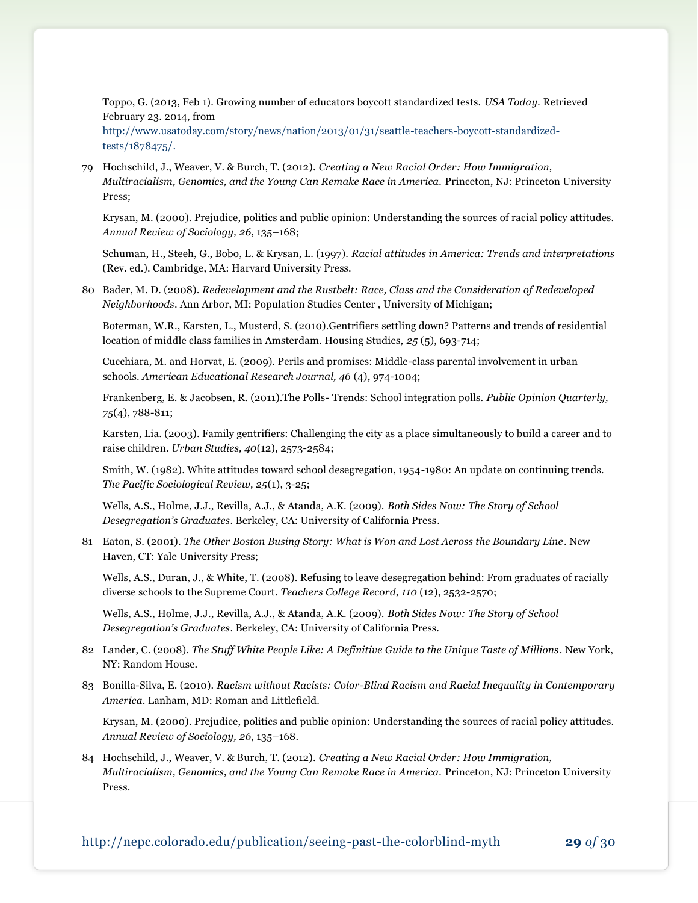Toppo, G. (2013, Feb 1). Growing number of educators boycott standardized tests. *USA Today.* Retrieved February 23. 2014, from

[http://www.usatoday.com/story/news/nation/2013/01/31/seattle-teachers-boycott-standardized](http://www.usatoday.com/story/news/nation/2013/01/31/seattle-teachers-boycott-standardized-tests/1878475/)[tests/1878475/.](http://www.usatoday.com/story/news/nation/2013/01/31/seattle-teachers-boycott-standardized-tests/1878475/)

79 Hochschild, J., Weaver, V. & Burch, T. (2012). *Creating a New Racial Order: How Immigration, Multiracialism, Genomics, and the Young Can Remake Race in America.* Princeton, NJ: Princeton University Press;

Krysan, M. (2000). Prejudice, politics and public opinion: Understanding the sources of racial policy attitudes. *Annual Review of Sociology, 26*, 135–168;

Schuman, H., Steeh, G., Bobo, L. & Krysan, L. (1997). *Racial attitudes in America: Trends and interpretations* (Rev. ed.). Cambridge, MA: Harvard University Press.

80 Bader, M. D. (2008). *Redevelopment and the Rustbelt: Race, Class and the Consideration of Redeveloped Neighborhoods*. Ann Arbor, MI: Population Studies Center , University of Michigan;

Boterman, W.R., Karsten, L., Musterd, S. (2010).Gentrifiers settling down? Patterns and trends of residential location of middle class families in Amsterdam. Housing Studies, *25* (5), 693-714;

[Cucchiara,](http://aer.sagepub.com/search?author1=Maia+Bloomfield+Cucchiara&sortspec=date&submit=Submit) M. and Horvat, E. (2009). Perils and promises: Middle-class parental involvement in urban schools. *American Educational Research Journal, 46* (4), 974-1004;

Frankenberg, E. & Jacobsen, R. (2011).The Polls- Trends: School integration polls. *Public Opinion Quarterly, 75*(4), 788-811;

Karsten, Lia. (2003). Family gentrifiers: Challenging the city as a place simultaneously to build a career and to raise children*. Urban Studies, 40*(12), 2573-2584;

Smith, W. (1982). White attitudes toward school desegregation, 1954-1980: An update on continuing trends. *The Pacific Sociological Review, 25*(1), 3-25;

Wells, A.S., Holme, J.J., Revilla, A.J., & Atanda, A.K. (2009). *Both Sides Now: The Story of School Desegregation's Graduates*. Berkeley, CA: University of California Press.

81 Eaton, S. (2001). *The Other Boston Busing Story: What is Won and Lost Across the Boundary Line*. New Haven, CT: Yale University Press;

Wells, A.S., Duran, J., & White, T. (2008). Refusing to leave desegregation behind: From graduates of racially diverse schools to the Supreme Court. *Teachers College Record, 110* (12), 2532-2570;

Wells, A.S., Holme, J.J., Revilla, A.J., & Atanda, A.K. (2009). *Both Sides Now: The Story of School Desegregation's Graduates*. Berkeley, CA: University of California Press.

- 82 Lander, C. (2008). *The Stuff White People Like: A Definitive Guide to the Unique Taste of Millions*. New York, NY: Random House.
- 83 Bonilla-Silva, E. (2010). *Racism without Racists: Color-Blind Racism and Racial Inequality in Contemporary America*. Lanham, MD: Roman and Littlefield.

Krysan, M. (2000). Prejudice, politics and public opinion: Understanding the sources of racial policy attitudes. *Annual Review of Sociology, 26*, 135–168.

84 Hochschild, J., Weaver, V. & Burch, T. (2012). *Creating a New Racial Order: How Immigration, Multiracialism, Genomics, and the Young Can Remake Race in America.* Princeton, NJ: Princeton University Press.